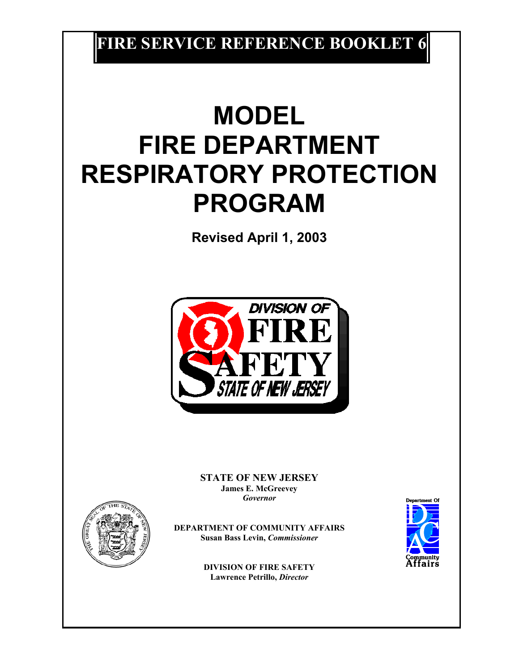**FIRE SERVICE REFERENCE BOOKLET 6**

# **MODEL FIRE DEPARTMENT RESPIRATORY PROTECTION PROGRAM**

**Revised April 1, 2003**



**STATE OF NEW JERSEY James E. McGreevey**  *Governor*



**DEPARTMENT OF COMMUNITY AFFAIRS Susan Bass Levin,** *Commissioner* 

> **DIVISION OF FIRE SAFETY Lawrence Petrillo,** *Director*

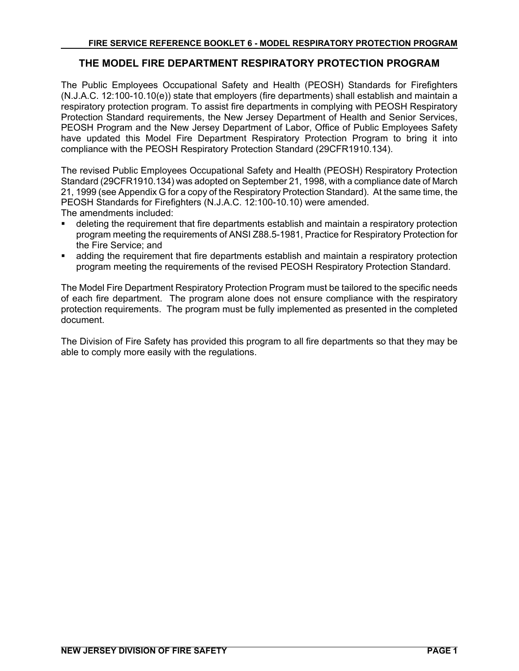# **THE MODEL FIRE DEPARTMENT RESPIRATORY PROTECTION PROGRAM**

The Public Employees Occupational Safety and Health (PEOSH) Standards for Firefighters (N.J.A.C. 12:100-10.10(e)) state that employers (fire departments) shall establish and maintain a respiratory protection program. To assist fire departments in complying with PEOSH Respiratory Protection Standard requirements, the New Jersey Department of Health and Senior Services, PEOSH Program and the New Jersey Department of Labor, Office of Public Employees Safety have updated this Model Fire Department Respiratory Protection Program to bring it into compliance with the PEOSH Respiratory Protection Standard (29CFR1910.134).

The revised Public Employees Occupational Safety and Health (PEOSH) Respiratory Protection Standard (29CFR1910.134) was adopted on September 21, 1998, with a compliance date of March 21, 1999 (see Appendix G for a copy of the Respiratory Protection Standard). At the same time, the PEOSH Standards for Firefighters (N.J.A.C. 12:100-10.10) were amended. The amendments included:

- deleting the requirement that fire departments establish and maintain a respiratory protection program meeting the requirements of ANSI Z88.5-1981, Practice for Respiratory Protection for the Fire Service; and
- adding the requirement that fire departments establish and maintain a respiratory protection program meeting the requirements of the revised PEOSH Respiratory Protection Standard.

The Model Fire Department Respiratory Protection Program must be tailored to the specific needs of each fire department. The program alone does not ensure compliance with the respiratory protection requirements. The program must be fully implemented as presented in the completed document.

The Division of Fire Safety has provided this program to all fire departments so that they may be able to comply more easily with the regulations.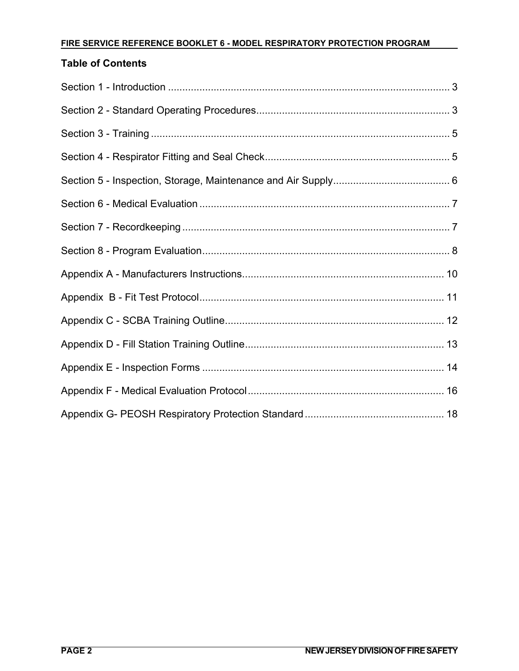# **Table of Contents**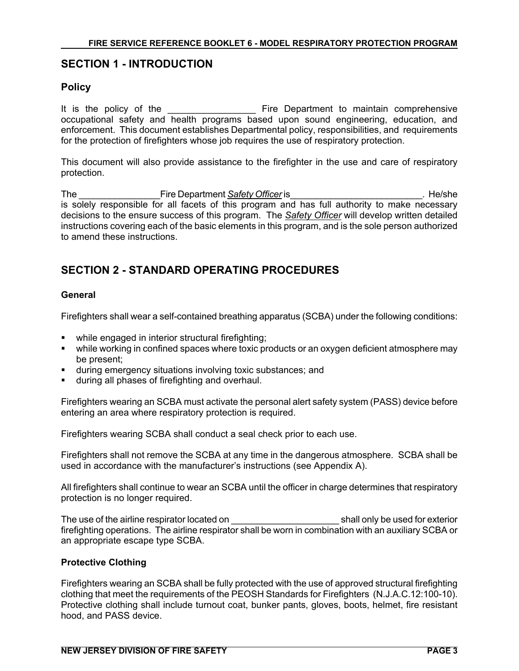# **SECTION 1 - INTRODUCTION**

## **Policy**

It is the policy of the the second properties of the second properties Fire Department to maintain comprehensive occupational safety and health programs based upon sound engineering, education, and enforcement. This document establishes Departmental policy, responsibilities, and requirements for the protection of firefighters whose job requires the use of respiratory protection.

This document will also provide assistance to the firefighter in the use and care of respiratory protection.

The The CHET Fire Department *Safety Officer* is the same of the setter is the setter is the setter is the setter is solely responsible for all facets of this program and has full authority to make necessary decisions to the ensure success of this program. The *Safety Officer* will develop written detailed instructions covering each of the basic elements in this program, and is the sole person authorized to amend these instructions.

# **SECTION 2 - STANDARD OPERATING PROCEDURES**

#### **General**

Firefighters shall wear a self-contained breathing apparatus (SCBA) under the following conditions:

- while engaged in interior structural firefighting;
- while working in confined spaces where toxic products or an oxygen deficient atmosphere may be present;
- **U during emergency situations involving toxic substances; and**
- **during all phases of firefighting and overhaul.**

Firefighters wearing an SCBA must activate the personal alert safety system (PASS) device before entering an area where respiratory protection is required.

Firefighters wearing SCBA shall conduct a seal check prior to each use.

Firefighters shall not remove the SCBA at any time in the dangerous atmosphere. SCBA shall be used in accordance with the manufacturer's instructions (see Appendix A).

All firefighters shall continue to wear an SCBA until the officer in charge determines that respiratory protection is no longer required.

The use of the airline respirator located on the state of shall only be used for exterior firefighting operations. The airline respirator shall be worn in combination with an auxiliary SCBA or an appropriate escape type SCBA.

#### **Protective Clothing**

Firefighters wearing an SCBA shall be fully protected with the use of approved structural firefighting clothing that meet the requirements of the PEOSH Standards for Firefighters (N.J.A.C.12:100-10). Protective clothing shall include turnout coat, bunker pants, gloves, boots, helmet, fire resistant hood, and PASS device.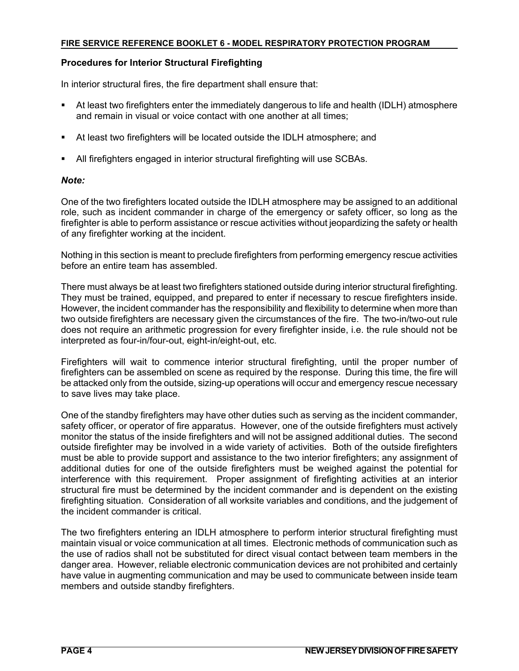## **Procedures for Interior Structural Firefighting**

In interior structural fires, the fire department shall ensure that:

- At least two firefighters enter the immediately dangerous to life and health (IDLH) atmosphere and remain in visual or voice contact with one another at all times;
- At least two firefighters will be located outside the IDLH atmosphere; and
- All firefighters engaged in interior structural firefighting will use SCBAs.

#### *Note:*

One of the two firefighters located outside the IDLH atmosphere may be assigned to an additional role, such as incident commander in charge of the emergency or safety officer, so long as the firefighter is able to perform assistance or rescue activities without jeopardizing the safety or health of any firefighter working at the incident.

Nothing in this section is meant to preclude firefighters from performing emergency rescue activities before an entire team has assembled.

There must always be at least two firefighters stationed outside during interior structural firefighting. They must be trained, equipped, and prepared to enter if necessary to rescue firefighters inside. However, the incident commander has the responsibility and flexibility to determine when more than two outside firefighters are necessary given the circumstances of the fire. The two-in/two-out rule does not require an arithmetic progression for every firefighter inside, i.e. the rule should not be interpreted as four-in/four-out, eight-in/eight-out, etc.

Firefighters will wait to commence interior structural firefighting, until the proper number of firefighters can be assembled on scene as required by the response. During this time, the fire will be attacked only from the outside, sizing-up operations will occur and emergency rescue necessary to save lives may take place.

One of the standby firefighters may have other duties such as serving as the incident commander, safety officer, or operator of fire apparatus. However, one of the outside firefighters must actively monitor the status of the inside firefighters and will not be assigned additional duties. The second outside firefighter may be involved in a wide variety of activities. Both of the outside firefighters must be able to provide support and assistance to the two interior firefighters; any assignment of additional duties for one of the outside firefighters must be weighed against the potential for interference with this requirement. Proper assignment of firefighting activities at an interior structural fire must be determined by the incident commander and is dependent on the existing firefighting situation. Consideration of all worksite variables and conditions, and the judgement of the incident commander is critical.

The two firefighters entering an IDLH atmosphere to perform interior structural firefighting must maintain visual or voice communication at all times. Electronic methods of communication such as the use of radios shall not be substituted for direct visual contact between team members in the danger area. However, reliable electronic communication devices are not prohibited and certainly have value in augmenting communication and may be used to communicate between inside team members and outside standby firefighters.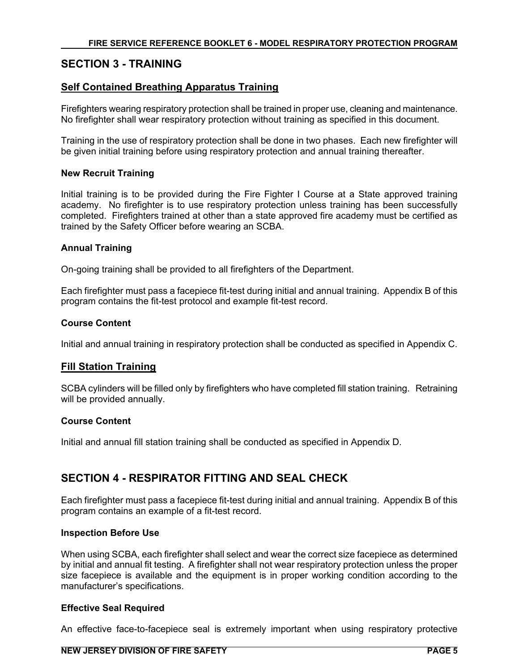# **SECTION 3 - TRAINING**

#### **Self Contained Breathing Apparatus Training**

Firefighters wearing respiratory protection shall be trained in proper use, cleaning and maintenance. No firefighter shall wear respiratory protection without training as specified in this document.

Training in the use of respiratory protection shall be done in two phases. Each new firefighter will be given initial training before using respiratory protection and annual training thereafter.

#### **New Recruit Training**

Initial training is to be provided during the Fire Fighter I Course at a State approved training academy. No firefighter is to use respiratory protection unless training has been successfully completed. Firefighters trained at other than a state approved fire academy must be certified as trained by the Safety Officer before wearing an SCBA.

#### **Annual Training**

On-going training shall be provided to all firefighters of the Department.

Each firefighter must pass a facepiece fit-test during initial and annual training. Appendix B of this program contains the fit-test protocol and example fit-test record.

#### **Course Content**

Initial and annual training in respiratory protection shall be conducted as specified in Appendix C.

#### **Fill Station Training**

SCBA cylinders will be filled only by firefighters who have completed fill station training. Retraining will be provided annually.

#### **Course Content**

Initial and annual fill station training shall be conducted as specified in Appendix D.

# **SECTION 4 - RESPIRATOR FITTING AND SEAL CHECK**

Each firefighter must pass a facepiece fit-test during initial and annual training. Appendix B of this program contains an example of a fit-test record.

#### **Inspection Before Use**

When using SCBA, each firefighter shall select and wear the correct size facepiece as determined by initial and annual fit testing. A firefighter shall not wear respiratory protection unless the proper size facepiece is available and the equipment is in proper working condition according to the manufacturer's specifications.

#### **Effective Seal Required**

An effective face-to-facepiece seal is extremely important when using respiratory protective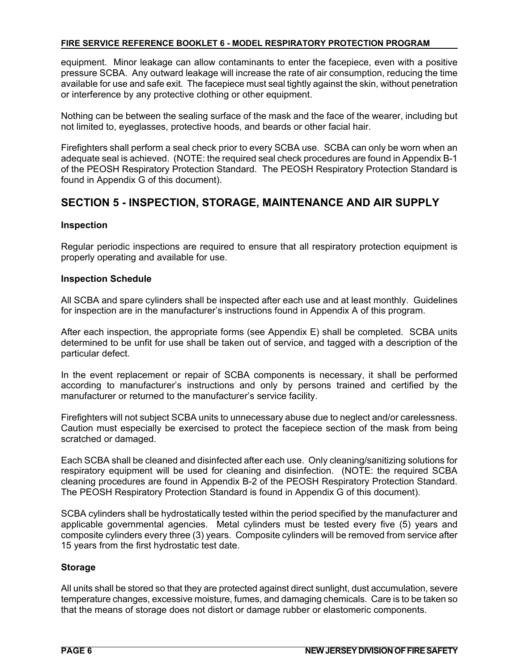equipment. Minor leakage can allow contaminants to enter the facepiece, even with a positive pressure SCBA. Any outward leakage will increase the rate of air consumption, reducing the time available for use and safe exit. The facepiece must seal tightly against the skin, without penetration or interference by any protective clothing or other equipment.

Nothing can be between the sealing surface of the mask and the face of the wearer, including but not limited to, eyeglasses, protective hoods, and beards or other facial hair.

Firefighters shall perform a seal check prior to every SCBA use. SCBA can only be worn when an adequate seal is achieved. (NOTE: the required seal check procedures are found in Appendix B-1 of the PEOSH Respiratory Protection Standard. The PEOSH Respiratory Protection Standard is found in Appendix G of this document).

# **SECTION 5 - INSPECTION, STORAGE, MAINTENANCE AND AIR SUPPLY**

#### **Inspection**

Regular periodic inspections are required to ensure that all respiratory protection equipment is properly operating and available for use.

#### **Inspection Schedule**

All SCBA and spare cylinders shall be inspected after each use and at least monthly. Guidelines for inspection are in the manufacturer's instructions found in Appendix A of this program.

After each inspection, the appropriate forms (see Appendix E) shall be completed. SCBA units determined to be unfit for use shall be taken out of service, and tagged with a description of the particular defect.

In the event replacement or repair of SCBA components is necessary, it shall be performed according to manufacturer's instructions and only by persons trained and certified by the manufacturer or returned to the manufacturer's service facility.

Firefighters will not subject SCBA units to unnecessary abuse due to neglect and/or carelessness. Caution must especially be exercised to protect the facepiece section of the mask from being scratched or damaged.

Each SCBA shall be cleaned and disinfected after each use. Only cleaning/sanitizing solutions for respiratory equipment will be used for cleaning and disinfection. (NOTE: the required SCBA cleaning procedures are found in Appendix B-2 of the PEOSH Respiratory Protection Standard. The PEOSH Respiratory Protection Standard is found in Appendix G of this document).

SCBA cylinders shall be hydrostatically tested within the period specified by the manufacturer and applicable governmental agencies. Metal cylinders must be tested every five (5) years and composite cylinders every three (3) years. Composite cylinders will be removed from service after 15 years from the first hydrostatic test date.

#### **Storage**

All units shall be stored so that they are protected against direct sunlight, dust accumulation, severe temperature changes, excessive moisture, fumes, and damaging chemicals. Care is to be taken so that the means of storage does not distort or damage rubber or elastomeric components.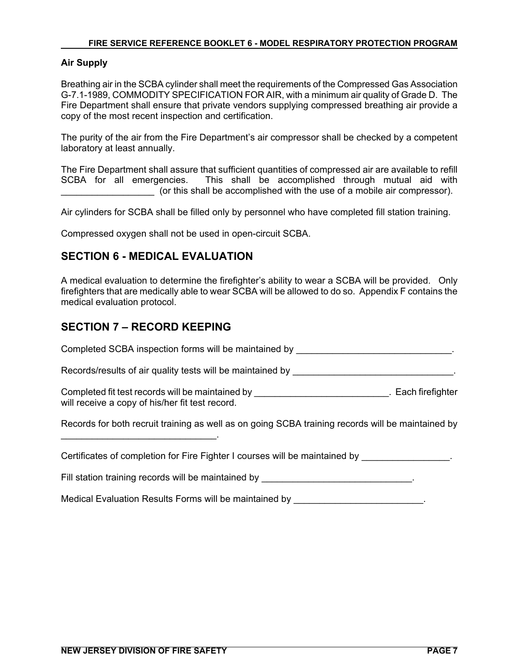#### **Air Supply**

Breathing air in the SCBA cylinder shall meet the requirements of the Compressed Gas Association G-7.1-1989, COMMODITY SPECIFICATION FOR AIR, with a minimum air quality of Grade D. The Fire Department shall ensure that private vendors supplying compressed breathing air provide a copy of the most recent inspection and certification.

The purity of the air from the Fire Department's air compressor shall be checked by a competent laboratory at least annually.

The Fire Department shall assure that sufficient quantities of compressed air are available to refill SCBA for all emergencies. This shall be accomplished through mutual aid with (or this shall be accomplished with the use of a mobile air compressor).

Air cylinders for SCBA shall be filled only by personnel who have completed fill station training.

Compressed oxygen shall not be used in open-circuit SCBA.

# **SECTION 6 - MEDICAL EVALUATION**

A medical evaluation to determine the firefighter's ability to wear a SCBA will be provided. Only firefighters that are medically able to wear SCBA will be allowed to do so. Appendix F contains the medical evaluation protocol.

# **SECTION 7 – RECORD KEEPING**

\_\_\_\_\_\_\_\_\_\_\_\_\_\_\_\_\_\_\_\_\_\_\_\_\_\_\_\_\_\_.

Completed SCBA inspection forms will be maintained by \_\_\_\_\_\_\_\_\_\_\_\_\_\_\_\_\_\_\_\_\_\_\_\_\_\_\_

Records/results of air quality tests will be maintained by \_\_\_\_\_\_\_\_\_\_\_\_\_\_\_\_\_\_\_\_\_\_\_\_\_\_\_\_\_\_\_\_.

Completed fit test records will be maintained by \_\_\_\_\_\_\_\_\_\_\_\_\_\_\_\_\_\_\_\_\_\_\_\_\_\_\_\_. Each firefighter will receive a copy of his/her fit test record.

Records for both recruit training as well as on going SCBA training records will be maintained by

Certificates of completion for Fire Fighter I courses will be maintained by \_\_\_\_\_\_\_\_\_\_\_\_\_\_\_\_.

Fill station training records will be maintained by **EXACUTE 10** and the station of the station of the station of the station of the station of the station of the station of the station of the station of the station of the

Medical Evaluation Results Forms will be maintained by **William Company and Company** and Company of the state of the state of the state of the state of the state of the state of the state of the state of the state of the s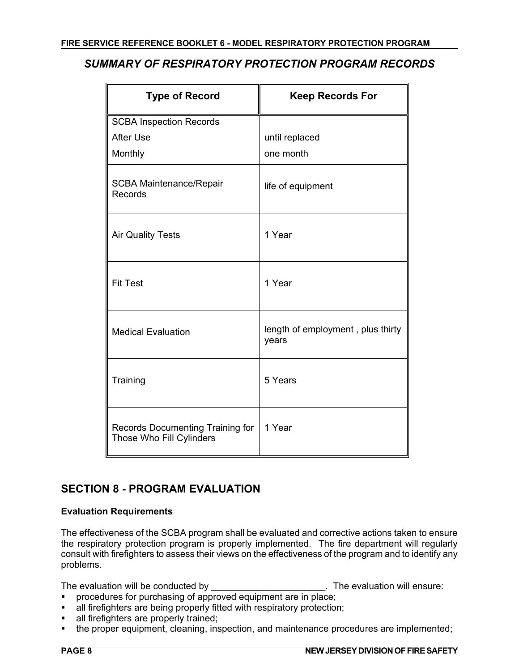# *SUMMARY OF RESPIRATORY PROTECTION PROGRAM RECORDS*

| <b>Type of Record</b>                                        | <b>Keep Records For</b>                    |
|--------------------------------------------------------------|--------------------------------------------|
| <b>SCBA Inspection Records</b>                               |                                            |
| <b>After Use</b>                                             | until replaced                             |
| Monthly                                                      | one month                                  |
| <b>SCBA Maintenance/Repair</b><br>Records                    | life of equipment                          |
| <b>Air Quality Tests</b>                                     | 1 Year                                     |
| <b>Fit Test</b>                                              | 1 Year                                     |
| <b>Medical Evaluation</b>                                    | length of employment, plus thirty<br>years |
| Training                                                     | 5 Years                                    |
| Records Documenting Training for<br>Those Who Fill Cylinders | 1 Year                                     |

# **SECTION 8 - PROGRAM EVALUATION**

#### **Evaluation Requirements**

The effectiveness of the SCBA program shall be evaluated and corrective actions taken to ensure the respiratory protection program is properly implemented. The fire department will regularly consult with firefighters to assess their views on the effectiveness of the program and to identify any problems.

The evaluation will be conducted by \_\_\_\_\_\_\_\_\_\_\_\_\_\_\_\_\_\_\_\_\_\_\_\_. The evaluation will ensure:

- **PEDECISE FOR A PROCEDURE:** procedures for purchasing of approved equipment are in place;
- all firefighters are being properly fitted with respiratory protection;
- all firefighters are properly trained;
- the proper equipment, cleaning, inspection, and maintenance procedures are implemented;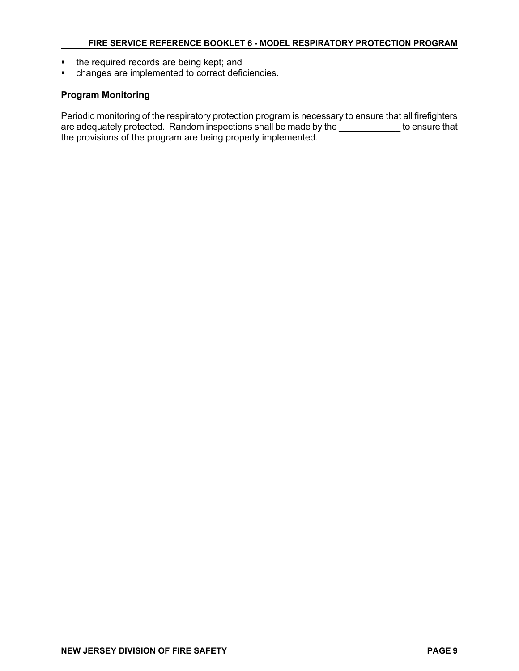- the required records are being kept; and
- changes are implemented to correct deficiencies.

#### **Program Monitoring**

Periodic monitoring of the respiratory protection program is necessary to ensure that all firefighters are adequately protected. Random inspections shall be made by the \_\_\_\_\_\_\_\_\_\_\_\_ to ensure that the provisions of the program are being properly implemented.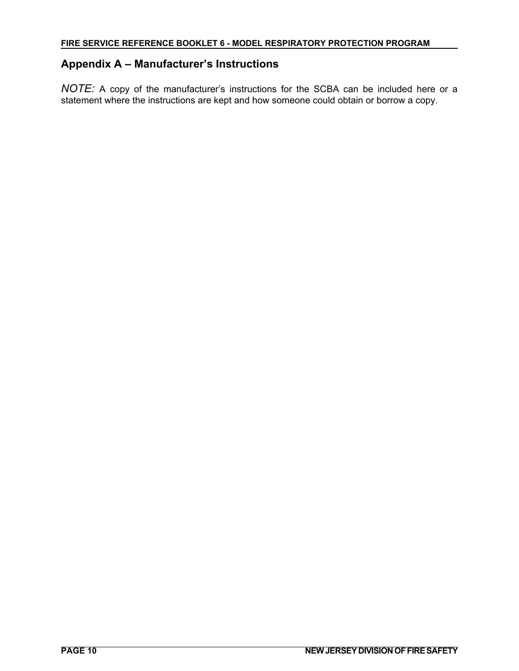# **Appendix A – Manufacturer's Instructions**

*NOTE:* A copy of the manufacturer's instructions for the SCBA can be included here or a statement where the instructions are kept and how someone could obtain or borrow a copy.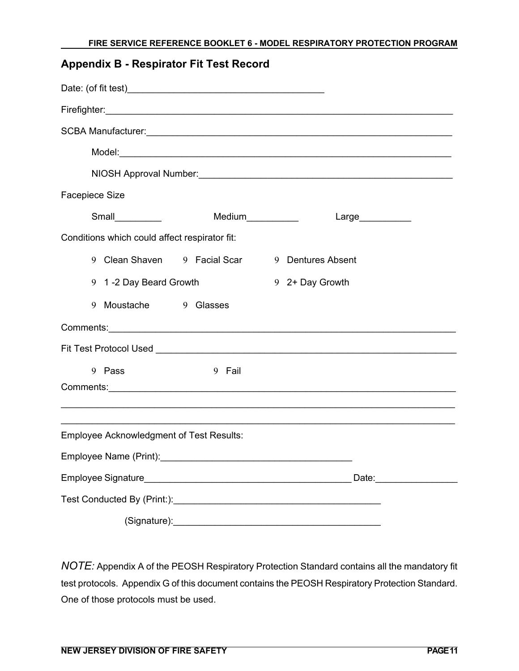| <b>Appendix B - Respirator Fit Test Record</b>                  |  |  |  |  |  |  |  |
|-----------------------------------------------------------------|--|--|--|--|--|--|--|
|                                                                 |  |  |  |  |  |  |  |
|                                                                 |  |  |  |  |  |  |  |
|                                                                 |  |  |  |  |  |  |  |
|                                                                 |  |  |  |  |  |  |  |
|                                                                 |  |  |  |  |  |  |  |
| <b>Facepiece Size</b>                                           |  |  |  |  |  |  |  |
| Medium____________<br>Small____________<br>$Large \_\_\_\_\_\_$ |  |  |  |  |  |  |  |
| Conditions which could affect respirator fit:                   |  |  |  |  |  |  |  |
| Clean Shaven 9 Facial Scar<br>9 Dentures Absent<br>9            |  |  |  |  |  |  |  |
| 9 2+ Day Growth<br>1-2 Day Beard Growth<br>9                    |  |  |  |  |  |  |  |
| Moustache 9 Glasses<br>9                                        |  |  |  |  |  |  |  |
|                                                                 |  |  |  |  |  |  |  |
|                                                                 |  |  |  |  |  |  |  |
| 9 Pass<br>9 Fail                                                |  |  |  |  |  |  |  |
|                                                                 |  |  |  |  |  |  |  |
|                                                                 |  |  |  |  |  |  |  |
| <b>Employee Acknowledgment of Test Results:</b>                 |  |  |  |  |  |  |  |
|                                                                 |  |  |  |  |  |  |  |
|                                                                 |  |  |  |  |  |  |  |
|                                                                 |  |  |  |  |  |  |  |
|                                                                 |  |  |  |  |  |  |  |

*NOTE:* Appendix A of the PEOSH Respiratory Protection Standard contains all the mandatory fit test protocols. Appendix G of this document contains the PEOSH Respiratory Protection Standard. One of those protocols must be used.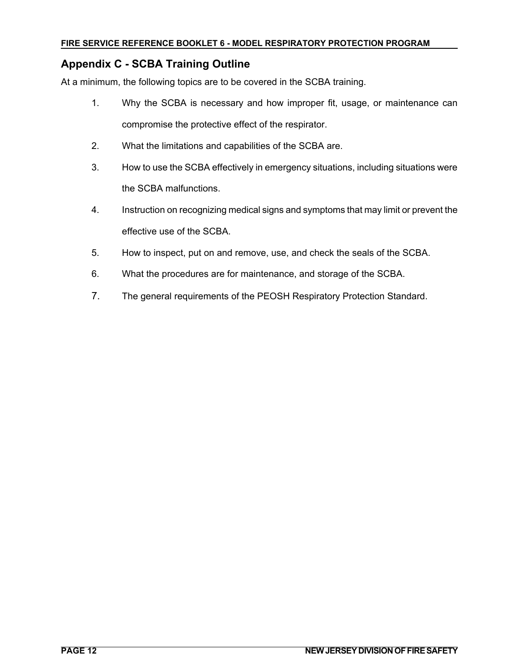# **Appendix C - SCBA Training Outline**

At a minimum, the following topics are to be covered in the SCBA training.

- 1. Why the SCBA is necessary and how improper fit, usage, or maintenance can compromise the protective effect of the respirator.
- 2. What the limitations and capabilities of the SCBA are.
- 3. How to use the SCBA effectively in emergency situations, including situations were the SCBA malfunctions.
- 4. Instruction on recognizing medical signs and symptoms that may limit or prevent the effective use of the SCBA.
- 5. How to inspect, put on and remove, use, and check the seals of the SCBA.
- 6. What the procedures are for maintenance, and storage of the SCBA.
- 7. The general requirements of the PEOSH Respiratory Protection Standard.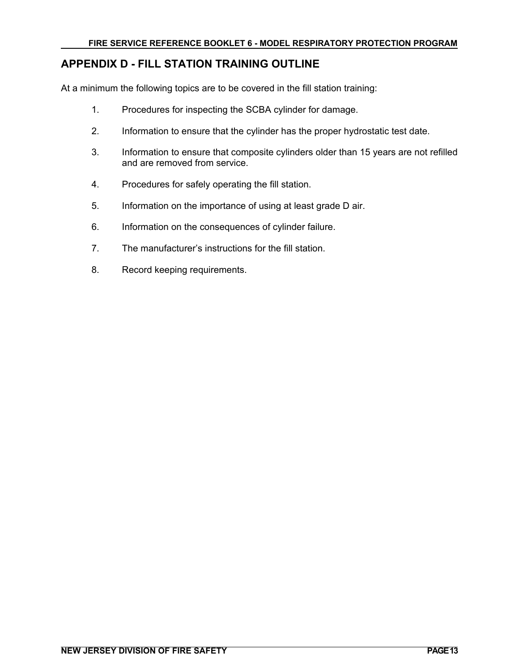# **APPENDIX D - FILL STATION TRAINING OUTLINE**

At a minimum the following topics are to be covered in the fill station training:

- 1. Procedures for inspecting the SCBA cylinder for damage.
- 2. Information to ensure that the cylinder has the proper hydrostatic test date.
- 3. Information to ensure that composite cylinders older than 15 years are not refilled and are removed from service.
- 4. Procedures for safely operating the fill station.
- 5. Information on the importance of using at least grade D air.
- 6. Information on the consequences of cylinder failure.
- 7. The manufacturer's instructions for the fill station.
- 8. Record keeping requirements.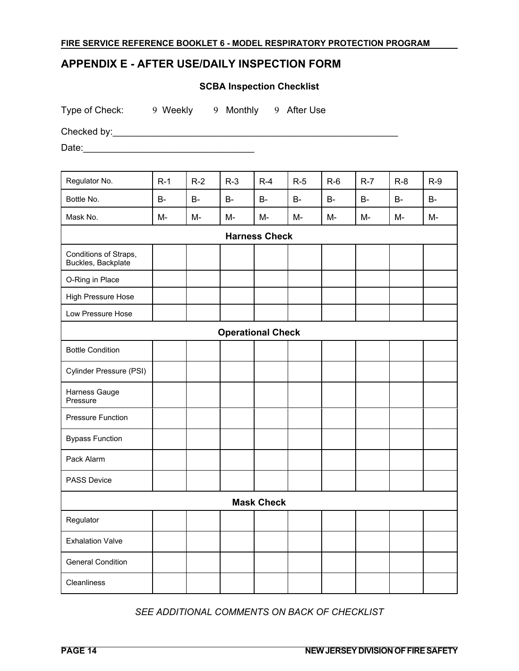# **APPENDIX E - AFTER USE/DAILY INSPECTION FORM**

#### **SCBA Inspection Checklist**

| Type of Check: | 9 Weekly | 9 Monthly | 9 After Use |  |
|----------------|----------|-----------|-------------|--|
|----------------|----------|-----------|-------------|--|

Checked by:\_\_\_\_\_\_\_\_\_\_\_\_\_\_\_\_\_\_\_\_\_\_\_\_\_\_\_\_\_\_\_\_\_\_\_\_\_\_\_\_\_\_\_\_\_\_\_\_\_\_\_\_\_\_\_

Date:\_\_\_\_\_\_\_\_\_\_\_\_\_\_\_\_\_\_\_\_\_\_\_\_\_\_\_\_\_\_\_\_\_

| Regulator No.                               | $R-1$     | $R-2$     | $R-3$                    | $R-4$                | $R-5$     | $R-6$     | $R-7$     | $R-8$     | $R-9$     |
|---------------------------------------------|-----------|-----------|--------------------------|----------------------|-----------|-----------|-----------|-----------|-----------|
| Bottle No.                                  | <b>B-</b> | <b>B-</b> | <b>B-</b>                | <b>B-</b>            | <b>B-</b> | <b>B-</b> | <b>B-</b> | <b>B-</b> | <b>B-</b> |
| Mask No.                                    | $M -$     | M-        | $M -$                    | M-                   | M-        | M-        | M-        | M-        | M-        |
|                                             |           |           |                          | <b>Harness Check</b> |           |           |           |           |           |
| Conditions of Straps,<br>Buckles, Backplate |           |           |                          |                      |           |           |           |           |           |
| O-Ring in Place                             |           |           |                          |                      |           |           |           |           |           |
| High Pressure Hose                          |           |           |                          |                      |           |           |           |           |           |
| Low Pressure Hose                           |           |           |                          |                      |           |           |           |           |           |
|                                             |           |           | <b>Operational Check</b> |                      |           |           |           |           |           |
| <b>Bottle Condition</b>                     |           |           |                          |                      |           |           |           |           |           |
| Cylinder Pressure (PSI)                     |           |           |                          |                      |           |           |           |           |           |
| Harness Gauge<br>Pressure                   |           |           |                          |                      |           |           |           |           |           |
| Pressure Function                           |           |           |                          |                      |           |           |           |           |           |
| <b>Bypass Function</b>                      |           |           |                          |                      |           |           |           |           |           |
| Pack Alarm                                  |           |           |                          |                      |           |           |           |           |           |
| PASS Device                                 |           |           |                          |                      |           |           |           |           |           |
| <b>Mask Check</b>                           |           |           |                          |                      |           |           |           |           |           |
| Regulator                                   |           |           |                          |                      |           |           |           |           |           |
| <b>Exhalation Valve</b>                     |           |           |                          |                      |           |           |           |           |           |
| <b>General Condition</b>                    |           |           |                          |                      |           |           |           |           |           |
| Cleanliness                                 |           |           |                          |                      |           |           |           |           |           |

*SEE ADDITIONAL COMMENTS ON BACK OF CHECKLIST*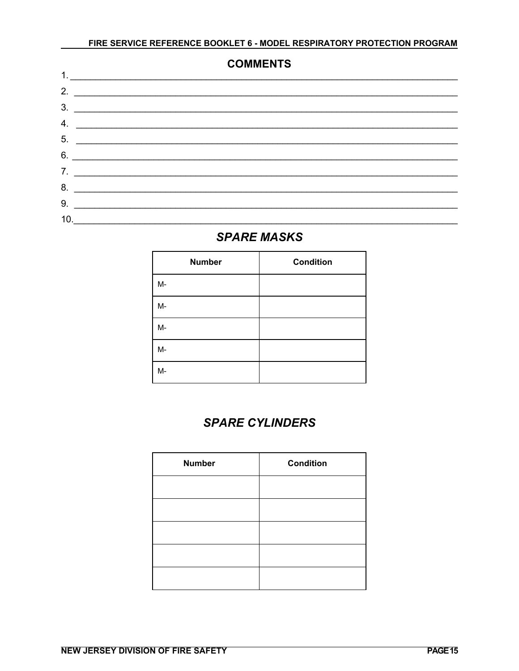# **COMMENTS**

| $3.$ $\overline{\phantom{a}}$ |
|-------------------------------|
|                               |
|                               |
| $6.$ $\overline{\phantom{a}}$ |
|                               |
|                               |
| 9.                            |
| 10.                           |

# **SPARE MASKS**

| <b>Number</b> | <b>Condition</b> |
|---------------|------------------|
| $M -$         |                  |
| $M -$         |                  |
| $M -$         |                  |
| $M -$         |                  |
| $M -$         |                  |

# **SPARE CYLINDERS**

| <b>Number</b> | <b>Condition</b> |
|---------------|------------------|
|               |                  |
|               |                  |
|               |                  |
|               |                  |
|               |                  |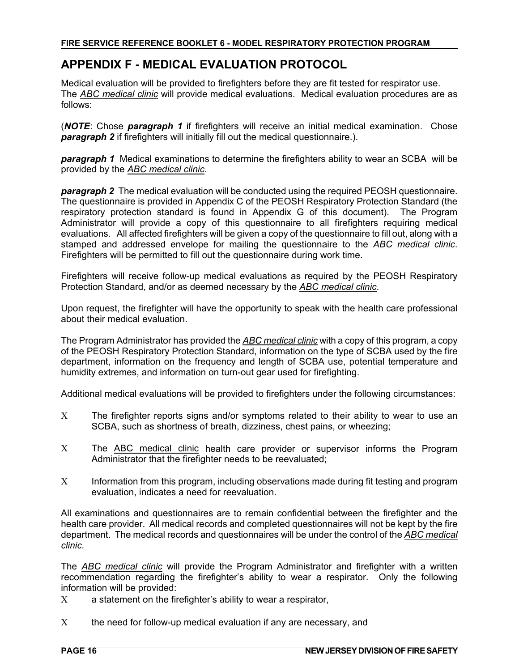# **APPENDIX F - MEDICAL EVALUATION PROTOCOL**

Medical evaluation will be provided to firefighters before they are fit tested for respirator use. The *ABC medical clinic* will provide medical evaluations. Medical evaluation procedures are as follows:

(*NOTE*: Chose *paragraph 1* if firefighters will receive an initial medical examination. Chose **paragraph 2** if firefighters will initially fill out the medical questionnaire.).

*paragraph 1* Medical examinations to determine the firefighters ability to wear an SCBA will be provided by the *ABC medical clinic*.

**paragraph 2** The medical evaluation will be conducted using the required PEOSH questionnaire. The questionnaire is provided in Appendix C of the PEOSH Respiratory Protection Standard (the respiratory protection standard is found in Appendix G of this document). The Program Administrator will provide a copy of this questionnaire to all firefighters requiring medical evaluations. All affected firefighters will be given a copy of the questionnaire to fill out, along with a stamped and addressed envelope for mailing the questionnaire to the *ABC medical clinic*. Firefighters will be permitted to fill out the questionnaire during work time.

Firefighters will receive follow-up medical evaluations as required by the PEOSH Respiratory Protection Standard, and/or as deemed necessary by the *ABC medical clinic*.

Upon request, the firefighter will have the opportunity to speak with the health care professional about their medical evaluation.

The Program Administrator has provided the *ABC medical clinic* with a copy of this program, a copy of the PEOSH Respiratory Protection Standard, information on the type of SCBA used by the fire department, information on the frequency and length of SCBA use, potential temperature and humidity extremes, and information on turn-out gear used for firefighting.

Additional medical evaluations will be provided to firefighters under the following circumstances:

- Χ The firefighter reports signs and/or symptoms related to their ability to wear to use an SCBA, such as shortness of breath, dizziness, chest pains, or wheezing;
- Χ The ABC medical clinic health care provider or supervisor informs the Program Administrator that the firefighter needs to be reevaluated;
- Χ Information from this program, including observations made during fit testing and program evaluation, indicates a need for reevaluation.

All examinations and questionnaires are to remain confidential between the firefighter and the health care provider. All medical records and completed questionnaires will not be kept by the fire department. The medical records and questionnaires will be under the control of the *ABC medical clinic.*

The *ABC medical clinic* will provide the Program Administrator and firefighter with a written recommendation regarding the firefighter's ability to wear a respirator. Only the following information will be provided:

- Χ a statement on the firefighter's ability to wear a respirator,
- Χ the need for follow-up medical evaluation if any are necessary, and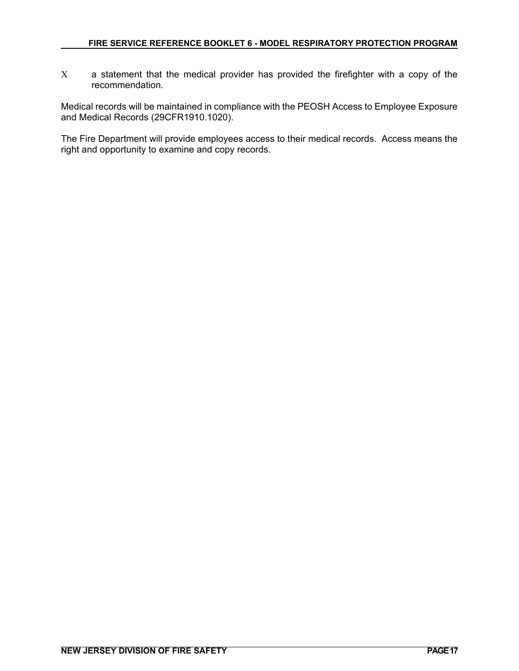Χ a statement that the medical provider has provided the firefighter with a copy of the recommendation.

Medical records will be maintained in compliance with the PEOSH Access to Employee Exposure and Medical Records (29CFR1910.1020).

The Fire Department will provide employees access to their medical records. Access means the right and opportunity to examine and copy records.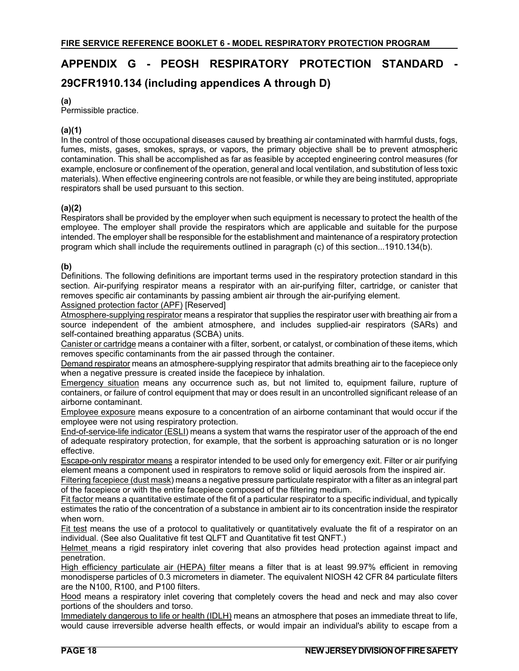# **APPENDIX G - PEOSH RESPIRATORY PROTECTION STANDARD -**

# **29CFR1910.134 (including appendices A through D)**

#### **(a)**

Permissible practice.

#### **(a)(1)**

In the control of those occupational diseases caused by breathing air contaminated with harmful dusts, fogs, fumes, mists, gases, smokes, sprays, or vapors, the primary objective shall be to prevent atmospheric contamination. This shall be accomplished as far as feasible by accepted engineering control measures (for example, enclosure or confinement of the operation, general and local ventilation, and substitution of less toxic materials). When effective engineering controls are not feasible, or while they are being instituted, appropriate respirators shall be used pursuant to this section.

#### **(a)(2)**

Respirators shall be provided by the employer when such equipment is necessary to protect the health of the employee. The employer shall provide the respirators which are applicable and suitable for the purpose intended. The employer shall be responsible for the establishment and maintenance of a respiratory protection program which shall include the requirements outlined in paragraph (c) of this section...1910.134(b).

#### **(b)**

Definitions. The following definitions are important terms used in the respiratory protection standard in this section. Air-purifying respirator means a respirator with an air-purifying filter, cartridge, or canister that removes specific air contaminants by passing ambient air through the air-purifying element.

Assigned protection factor (APF) [Reserved]

Atmosphere-supplying respirator means a respirator that supplies the respirator user with breathing air from a source independent of the ambient atmosphere, and includes supplied-air respirators (SARs) and self-contained breathing apparatus (SCBA) units.

Canister or cartridge means a container with a filter, sorbent, or catalyst, or combination of these items, which removes specific contaminants from the air passed through the container.

Demand respirator means an atmosphere-supplying respirator that admits breathing air to the facepiece only when a negative pressure is created inside the facepiece by inhalation.

Emergency situation means any occurrence such as, but not limited to, equipment failure, rupture of containers, or failure of control equipment that may or does result in an uncontrolled significant release of an airborne contaminant.

Employee exposure means exposure to a concentration of an airborne contaminant that would occur if the employee were not using respiratory protection.

End-of-service-life indicator (ESLI) means a system that warns the respirator user of the approach of the end of adequate respiratory protection, for example, that the sorbent is approaching saturation or is no longer effective.

Escape-only respirator means a respirator intended to be used only for emergency exit. Filter or air purifying element means a component used in respirators to remove solid or liquid aerosols from the inspired air.

Filtering facepiece (dust mask) means a negative pressure particulate respirator with a filter as an integral part of the facepiece or with the entire facepiece composed of the filtering medium.

Fit factor means a quantitative estimate of the fit of a particular respirator to a specific individual, and typically estimates the ratio of the concentration of a substance in ambient air to its concentration inside the respirator when worn.

Fit test means the use of a protocol to qualitatively or quantitatively evaluate the fit of a respirator on an individual. (See also Qualitative fit test QLFT and Quantitative fit test QNFT.)

Helmet means a rigid respiratory inlet covering that also provides head protection against impact and penetration.

High efficiency particulate air (HEPA) filter means a filter that is at least 99.97% efficient in removing monodisperse particles of 0.3 micrometers in diameter. The equivalent NIOSH 42 CFR 84 particulate filters are the N100, R100, and P100 filters.

Hood means a respiratory inlet covering that completely covers the head and neck and may also cover portions of the shoulders and torso.

Immediately dangerous to life or health (IDLH) means an atmosphere that poses an immediate threat to life, would cause irreversible adverse health effects, or would impair an individual's ability to escape from a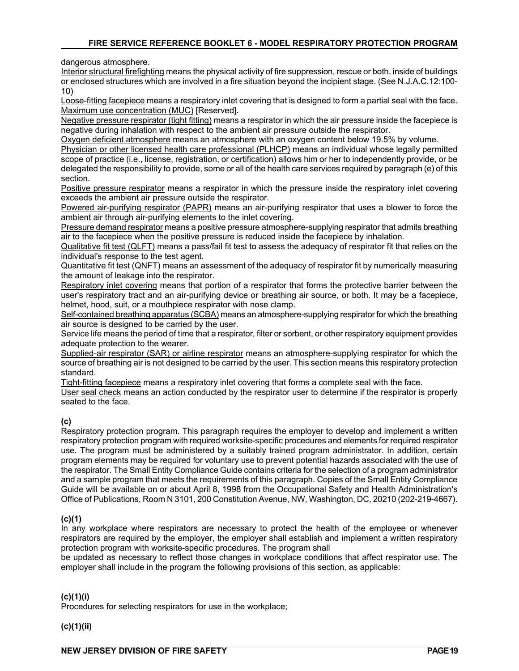dangerous atmosphere.

Interior structural firefighting means the physical activity of fire suppression, rescue or both, inside of buildings or enclosed structures which are involved in a fire situation beyond the incipient stage. (See N.J.A.C.12:100- 10)

Loose-fitting facepiece means a respiratory inlet covering that is designed to form a partial seal with the face. Maximum use concentration (MUC) [Reserved].

Negative pressure respirator (tight fitting) means a respirator in which the air pressure inside the facepiece is negative during inhalation with respect to the ambient air pressure outside the respirator.

Oxygen deficient atmosphere means an atmosphere with an oxygen content below 19.5% by volume.

Physician or other licensed health care professional (PLHCP) means an individual whose legally permitted scope of practice (i.e., license, registration, or certification) allows him or her to independently provide, or be delegated the responsibility to provide, some or all of the health care services required by paragraph (e) of this section.

Positive pressure respirator means a respirator in which the pressure inside the respiratory inlet covering exceeds the ambient air pressure outside the respirator.

Powered air-purifying respirator (PAPR) means an air-purifying respirator that uses a blower to force the ambient air through air-purifying elements to the inlet covering.

Pressure demand respirator means a positive pressure atmosphere-supplying respirator that admits breathing air to the facepiece when the positive pressure is reduced inside the facepiece by inhalation.

Qualitative fit test (QLFT) means a pass/fail fit test to assess the adequacy of respirator fit that relies on the individual's response to the test agent.

Quantitative fit test (QNFT) means an assessment of the adequacy of respirator fit by numerically measuring the amount of leakage into the respirator.

Respiratory inlet covering means that portion of a respirator that forms the protective barrier between the user's respiratory tract and an air-purifying device or breathing air source, or both. It may be a facepiece, helmet, hood, suit, or a mouthpiece respirator with nose clamp.

Self-contained breathing apparatus (SCBA) means an atmosphere-supplying respirator for which the breathing air source is designed to be carried by the user.

Service life means the period of time that a respirator, filter or sorbent, or other respiratory equipment provides adequate protection to the wearer.

Supplied-air respirator (SAR) or airline respirator means an atmosphere-supplying respirator for which the source of breathing air is not designed to be carried by the user. This section means this respiratory protection standard.

Tight-fitting facepiece means a respiratory inlet covering that forms a complete seal with the face.

User seal check means an action conducted by the respirator user to determine if the respirator is properly seated to the face.

#### **(c)**

Respiratory protection program. This paragraph requires the employer to develop and implement a written respiratory protection program with required worksite-specific procedures and elements for required respirator use. The program must be administered by a suitably trained program administrator. In addition, certain program elements may be required for voluntary use to prevent potential hazards associated with the use of the respirator. The Small Entity Compliance Guide contains criteria for the selection of a program administrator and a sample program that meets the requirements of this paragraph. Copies of the Small Entity Compliance Guide will be available on or about April 8, 1998 from the Occupational Safety and Health Administration's Office of Publications, Room N 3101, 200 Constitution Avenue, NW, Washington, DC, 20210 (202-219-4667).

#### **(c)(1)**

In any workplace where respirators are necessary to protect the health of the employee or whenever respirators are required by the employer, the employer shall establish and implement a written respiratory protection program with worksite-specific procedures. The program shall

be updated as necessary to reflect those changes in workplace conditions that affect respirator use. The employer shall include in the program the following provisions of this section, as applicable:

#### **(c)(1)(i)**

Procedures for selecting respirators for use in the workplace;

#### **(c)(1)(ii)**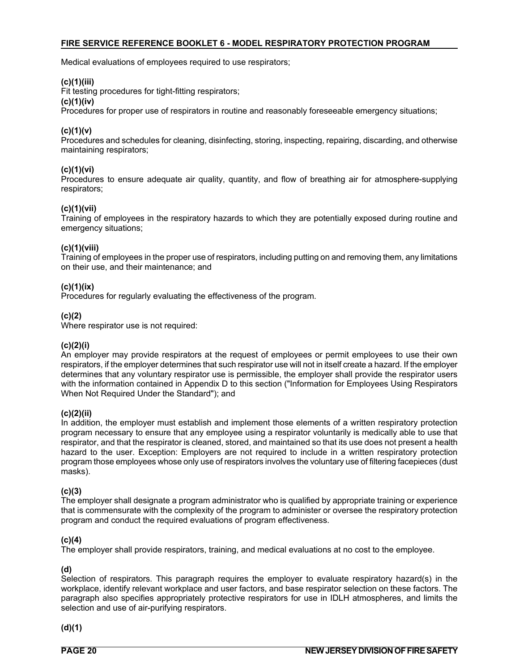Medical evaluations of employees required to use respirators;

#### **(c)(1)(iii)**

Fit testing procedures for tight-fitting respirators;

**(c)(1)(iv)**

Procedures for proper use of respirators in routine and reasonably foreseeable emergency situations;

#### **(c)(1)(v)**

Procedures and schedules for cleaning, disinfecting, storing, inspecting, repairing, discarding, and otherwise maintaining respirators;

#### **(c)(1)(vi)**

Procedures to ensure adequate air quality, quantity, and flow of breathing air for atmosphere-supplying respirators;

#### **(c)(1)(vii)**

Training of employees in the respiratory hazards to which they are potentially exposed during routine and emergency situations;

#### **(c)(1)(viii)**

Training of employees in the proper use of respirators, including putting on and removing them, any limitations on their use, and their maintenance; and

#### **(c)(1)(ix)**

Procedures for regularly evaluating the effectiveness of the program.

#### **(c)(2)**

Where respirator use is not required:

#### **(c)(2)(i)**

An employer may provide respirators at the request of employees or permit employees to use their own respirators, if the employer determines that such respirator use will not in itself create a hazard. If the employer determines that any voluntary respirator use is permissible, the employer shall provide the respirator users with the information contained in Appendix D to this section ("Information for Employees Using Respirators When Not Required Under the Standard"); and

#### **(c)(2)(ii)**

In addition, the employer must establish and implement those elements of a written respiratory protection program necessary to ensure that any employee using a respirator voluntarily is medically able to use that respirator, and that the respirator is cleaned, stored, and maintained so that its use does not present a health hazard to the user. Exception: Employers are not required to include in a written respiratory protection program those employees whose only use of respirators involves the voluntary use of filtering facepieces (dust masks).

#### **(c)(3)**

The employer shall designate a program administrator who is qualified by appropriate training or experience that is commensurate with the complexity of the program to administer or oversee the respiratory protection program and conduct the required evaluations of program effectiveness.

#### **(c)(4)**

The employer shall provide respirators, training, and medical evaluations at no cost to the employee.

#### **(d)**

Selection of respirators. This paragraph requires the employer to evaluate respiratory hazard(s) in the workplace, identify relevant workplace and user factors, and base respirator selection on these factors. The paragraph also specifies appropriately protective respirators for use in IDLH atmospheres, and limits the selection and use of air-purifying respirators.

**(d)(1)**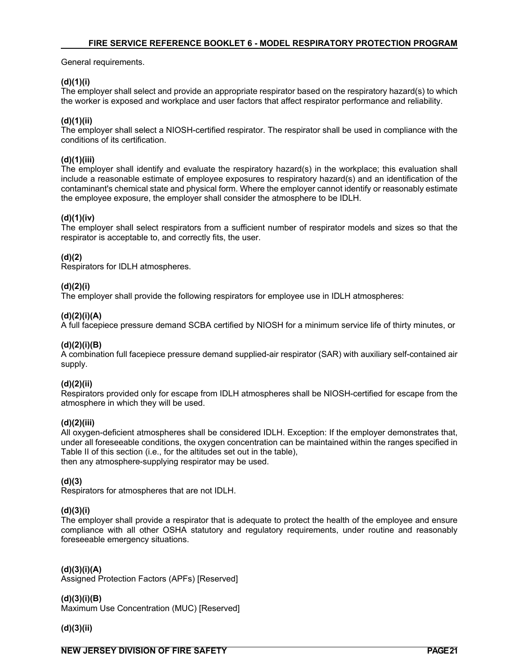#### General requirements.

#### **(d)(1)(i)**

The employer shall select and provide an appropriate respirator based on the respiratory hazard(s) to which the worker is exposed and workplace and user factors that affect respirator performance and reliability.

#### **(d)(1)(ii)**

The employer shall select a NIOSH-certified respirator. The respirator shall be used in compliance with the conditions of its certification.

#### **(d)(1)(iii)**

The employer shall identify and evaluate the respiratory hazard(s) in the workplace; this evaluation shall include a reasonable estimate of employee exposures to respiratory hazard(s) and an identification of the contaminant's chemical state and physical form. Where the employer cannot identify or reasonably estimate the employee exposure, the employer shall consider the atmosphere to be IDLH.

#### **(d)(1)(iv)**

The employer shall select respirators from a sufficient number of respirator models and sizes so that the respirator is acceptable to, and correctly fits, the user.

#### **(d)(2)**

Respirators for IDLH atmospheres.

#### **(d)(2)(i)**

The employer shall provide the following respirators for employee use in IDLH atmospheres:

#### **(d)(2)(i)(A)**

A full facepiece pressure demand SCBA certified by NIOSH for a minimum service life of thirty minutes, or

#### **(d)(2)(i)(B)**

A combination full facepiece pressure demand supplied-air respirator (SAR) with auxiliary self-contained air supply.

#### **(d)(2)(ii)**

Respirators provided only for escape from IDLH atmospheres shall be NIOSH-certified for escape from the atmosphere in which they will be used.

#### **(d)(2)(iii)**

All oxygen-deficient atmospheres shall be considered IDLH. Exception: If the employer demonstrates that, under all foreseeable conditions, the oxygen concentration can be maintained within the ranges specified in Table II of this section (i.e., for the altitudes set out in the table), then any atmosphere-supplying respirator may be used.

#### **(d)(3)**

Respirators for atmospheres that are not IDLH.

#### **(d)(3)(i)**

The employer shall provide a respirator that is adequate to protect the health of the employee and ensure compliance with all other OSHA statutory and regulatory requirements, under routine and reasonably foreseeable emergency situations.

**(d)(3)(i)(A)**  Assigned Protection Factors (APFs) [Reserved]

**(d)(3)(i)(B)**  Maximum Use Concentration (MUC) [Reserved]

**(d)(3)(ii)**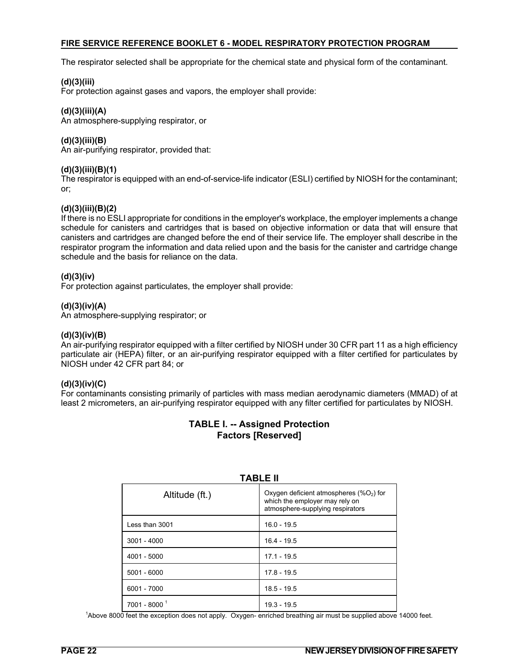The respirator selected shall be appropriate for the chemical state and physical form of the contaminant.

#### **(d)(3)(iii)**

For protection against gases and vapors, the employer shall provide:

#### **(d)(3)(iii)(A)**

An atmosphere-supplying respirator, or

#### **(d)(3)(iii)(B)**

An air-purifying respirator, provided that:

#### **(d)(3)(iii)(B)(1)**

The respirator is equipped with an end-of-service-life indicator (ESLI) certified by NIOSH for the contaminant; or;

#### **(d)(3)(iii)(B)(2)**

If there is no ESLI appropriate for conditions in the employer's workplace, the employer implements a change schedule for canisters and cartridges that is based on objective information or data that will ensure that canisters and cartridges are changed before the end of their service life. The employer shall describe in the respirator program the information and data relied upon and the basis for the canister and cartridge change schedule and the basis for reliance on the data.

#### **(d)(3)(iv)**

For protection against particulates, the employer shall provide:

#### **(d)(3)(iv)(A)**

An atmosphere-supplying respirator; or

#### **(d)(3)(iv)(B)**

An air-purifying respirator equipped with a filter certified by NIOSH under 30 CFR part 11 as a high efficiency particulate air (HEPA) filter, or an air-purifying respirator equipped with a filter certified for particulates by NIOSH under 42 CFR part 84; or

#### **(d)(3)(iv)(C)**

For contaminants consisting primarily of particles with mass median aerodynamic diameters (MMAD) of at least 2 micrometers, an air-purifying respirator equipped with any filter certified for particulates by NIOSH.

#### **TABLE I. -- Assigned Protection Factors [Reserved]**

| . תשבים                    |                                                                                                                 |  |  |  |
|----------------------------|-----------------------------------------------------------------------------------------------------------------|--|--|--|
| Altitude (ft.)             | Oxygen deficient atmospheres $(\%O2)$ for<br>which the employer may rely on<br>atmosphere-supplying respirators |  |  |  |
| Less than 3001             | $16.0 - 19.5$                                                                                                   |  |  |  |
| $3001 - 4000$              | $16.4 - 19.5$                                                                                                   |  |  |  |
| 4001 - 5000                | $17.1 - 19.5$                                                                                                   |  |  |  |
| $5001 - 6000$              | $17.8 - 19.5$                                                                                                   |  |  |  |
| 6001 - 7000                | $18.5 - 19.5$                                                                                                   |  |  |  |
| $7001 - 8000$ <sup>1</sup> | $19.3 - 19.5$                                                                                                   |  |  |  |

#### **TABLE II**

1Above 8000 feet the exception does not apply. Oxygen- enriched breathing air must be supplied above 14000 feet.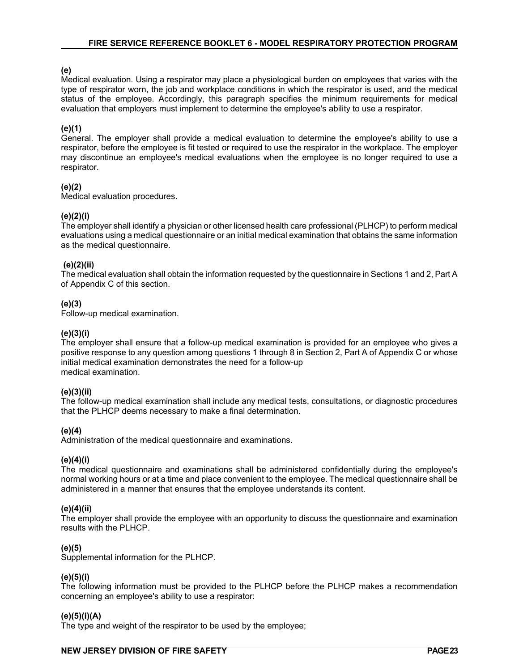#### **(e)**

Medical evaluation. Using a respirator may place a physiological burden on employees that varies with the type of respirator worn, the job and workplace conditions in which the respirator is used, and the medical status of the employee. Accordingly, this paragraph specifies the minimum requirements for medical evaluation that employers must implement to determine the employee's ability to use a respirator.

#### **(e)(1)**

General. The employer shall provide a medical evaluation to determine the employee's ability to use a respirator, before the employee is fit tested or required to use the respirator in the workplace. The employer may discontinue an employee's medical evaluations when the employee is no longer required to use a respirator.

#### **(e)(2)**

Medical evaluation procedures.

#### **(e)(2)(i)**

The employer shall identify a physician or other licensed health care professional (PLHCP) to perform medical evaluations using a medical questionnaire or an initial medical examination that obtains the same information as the medical questionnaire.

#### **(e)(2)(ii)**

The medical evaluation shall obtain the information requested by the questionnaire in Sections 1 and 2, Part A of Appendix C of this section.

#### **(e)(3)**

Follow-up medical examination.

#### **(e)(3)(i)**

The employer shall ensure that a follow-up medical examination is provided for an employee who gives a positive response to any question among questions 1 through 8 in Section 2, Part A of Appendix C or whose initial medical examination demonstrates the need for a follow-up medical examination.

#### **(e)(3)(ii)**

The follow-up medical examination shall include any medical tests, consultations, or diagnostic procedures that the PLHCP deems necessary to make a final determination.

#### **(e)(4)**

Administration of the medical questionnaire and examinations.

#### **(e)(4)(i)**

The medical questionnaire and examinations shall be administered confidentially during the employee's normal working hours or at a time and place convenient to the employee. The medical questionnaire shall be administered in a manner that ensures that the employee understands its content.

#### **(e)(4)(ii)**

The employer shall provide the employee with an opportunity to discuss the questionnaire and examination results with the PLHCP.

#### **(e)(5)**

Supplemental information for the PLHCP.

#### **(e)(5)(i)**

The following information must be provided to the PLHCP before the PLHCP makes a recommendation concerning an employee's ability to use a respirator:

#### **(e)(5)(i)(A)**

The type and weight of the respirator to be used by the employee;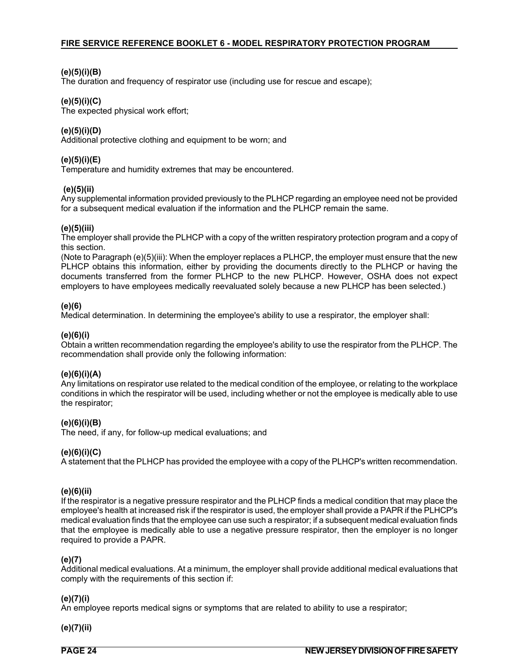#### **(e)(5)(i)(B)**

The duration and frequency of respirator use (including use for rescue and escape);

#### **(e)(5)(i)(C)**

The expected physical work effort;

#### **(e)(5)(i)(D)**

Additional protective clothing and equipment to be worn; and

#### **(e)(5)(i)(E)**

Temperature and humidity extremes that may be encountered.

#### **(e)(5)(ii)**

Any supplemental information provided previously to the PLHCP regarding an employee need not be provided for a subsequent medical evaluation if the information and the PLHCP remain the same.

#### **(e)(5)(iii)**

The employer shall provide the PLHCP with a copy of the written respiratory protection program and a copy of this section.

(Note to Paragraph (e)(5)(iii): When the employer replaces a PLHCP, the employer must ensure that the new PLHCP obtains this information, either by providing the documents directly to the PLHCP or having the documents transferred from the former PLHCP to the new PLHCP. However, OSHA does not expect employers to have employees medically reevaluated solely because a new PLHCP has been selected.)

#### **(e)(6)**

Medical determination. In determining the employee's ability to use a respirator, the employer shall:

#### **(e)(6)(i)**

Obtain a written recommendation regarding the employee's ability to use the respirator from the PLHCP. The recommendation shall provide only the following information:

#### **(e)(6)(i)(A)**

Any limitations on respirator use related to the medical condition of the employee, or relating to the workplace conditions in which the respirator will be used, including whether or not the employee is medically able to use the respirator;

#### **(e)(6)(i)(B)**

The need, if any, for follow-up medical evaluations; and

#### **(e)(6)(i)(C)**

A statement that the PLHCP has provided the employee with a copy of the PLHCP's written recommendation.

#### **(e)(6)(ii)**

If the respirator is a negative pressure respirator and the PLHCP finds a medical condition that may place the employee's health at increased risk if the respirator is used, the employer shall provide a PAPR if the PLHCP's medical evaluation finds that the employee can use such a respirator; if a subsequent medical evaluation finds that the employee is medically able to use a negative pressure respirator, then the employer is no longer required to provide a PAPR.

#### **(e)(7)**

Additional medical evaluations. At a minimum, the employer shall provide additional medical evaluations that comply with the requirements of this section if:

#### **(e)(7)(i)**

An employee reports medical signs or symptoms that are related to ability to use a respirator;

**(e)(7)(ii)**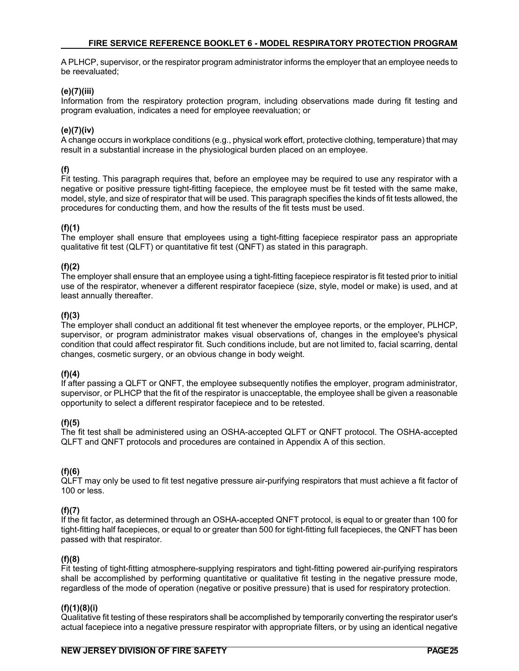A PLHCP, supervisor, or the respirator program administrator informs the employer that an employee needs to be reevaluated;

#### **(e)(7)(iii)**

Information from the respiratory protection program, including observations made during fit testing and program evaluation, indicates a need for employee reevaluation; or

#### **(e)(7)(iv)**

A change occurs in workplace conditions (e.g., physical work effort, protective clothing, temperature) that may result in a substantial increase in the physiological burden placed on an employee.

#### **(f)**

Fit testing. This paragraph requires that, before an employee may be required to use any respirator with a negative or positive pressure tight-fitting facepiece, the employee must be fit tested with the same make, model, style, and size of respirator that will be used. This paragraph specifies the kinds of fit tests allowed, the procedures for conducting them, and how the results of the fit tests must be used.

#### **(f)(1)**

The employer shall ensure that employees using a tight-fitting facepiece respirator pass an appropriate qualitative fit test (QLFT) or quantitative fit test (QNFT) as stated in this paragraph.

#### **(f)(2)**

The employer shall ensure that an employee using a tight-fitting facepiece respirator is fit tested prior to initial use of the respirator, whenever a different respirator facepiece (size, style, model or make) is used, and at least annually thereafter.

#### **(f)(3)**

The employer shall conduct an additional fit test whenever the employee reports, or the employer, PLHCP, supervisor, or program administrator makes visual observations of, changes in the employee's physical condition that could affect respirator fit. Such conditions include, but are not limited to, facial scarring, dental changes, cosmetic surgery, or an obvious change in body weight.

#### **(f)(4)**

If after passing a QLFT or QNFT, the employee subsequently notifies the employer, program administrator, supervisor, or PLHCP that the fit of the respirator is unacceptable, the employee shall be given a reasonable opportunity to select a different respirator facepiece and to be retested.

#### **(f)(5)**

The fit test shall be administered using an OSHA-accepted QLFT or QNFT protocol. The OSHA-accepted QLFT and QNFT protocols and procedures are contained in Appendix A of this section.

#### **(f)(6)**

QLFT may only be used to fit test negative pressure air-purifying respirators that must achieve a fit factor of 100 or less.

#### **(f)(7)**

If the fit factor, as determined through an OSHA-accepted QNFT protocol, is equal to or greater than 100 for tight-fitting half facepieces, or equal to or greater than 500 for tight-fitting full facepieces, the QNFT has been passed with that respirator.

#### **(f)(8)**

Fit testing of tight-fitting atmosphere-supplying respirators and tight-fitting powered air-purifying respirators shall be accomplished by performing quantitative or qualitative fit testing in the negative pressure mode, regardless of the mode of operation (negative or positive pressure) that is used for respiratory protection.

#### **(f)(1)(8)(i)**

Qualitative fit testing of these respirators shall be accomplished by temporarily converting the respirator user's actual facepiece into a negative pressure respirator with appropriate filters, or by using an identical negative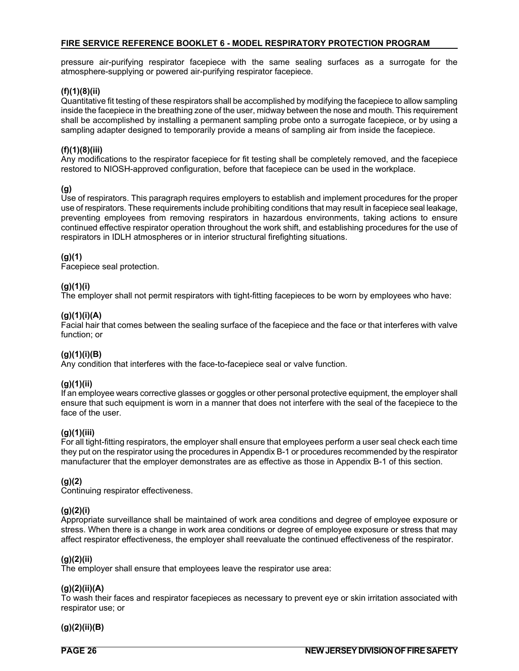pressure air-purifying respirator facepiece with the same sealing surfaces as a surrogate for the atmosphere-supplying or powered air-purifying respirator facepiece.

#### **(f)(1)(8)(ii)**

Quantitative fit testing of these respirators shall be accomplished by modifying the facepiece to allow sampling inside the facepiece in the breathing zone of the user, midway between the nose and mouth. This requirement shall be accomplished by installing a permanent sampling probe onto a surrogate facepiece, or by using a sampling adapter designed to temporarily provide a means of sampling air from inside the facepiece.

#### **(f)(1)(8)(iii)**

Any modifications to the respirator facepiece for fit testing shall be completely removed, and the facepiece restored to NIOSH-approved configuration, before that facepiece can be used in the workplace.

#### **(g)**

Use of respirators. This paragraph requires employers to establish and implement procedures for the proper use of respirators. These requirements include prohibiting conditions that may result in facepiece seal leakage, preventing employees from removing respirators in hazardous environments, taking actions to ensure continued effective respirator operation throughout the work shift, and establishing procedures for the use of respirators in IDLH atmospheres or in interior structural firefighting situations.

#### **(g)(1)**

Facepiece seal protection.

#### **(g)(1)(i)**

The employer shall not permit respirators with tight-fitting facepieces to be worn by employees who have:

#### **(g)(1)(i)(A)**

Facial hair that comes between the sealing surface of the facepiece and the face or that interferes with valve function; or

#### **(g)(1)(i)(B)**

Any condition that interferes with the face-to-facepiece seal or valve function.

#### **(g)(1)(ii)**

If an employee wears corrective glasses or goggles or other personal protective equipment, the employer shall ensure that such equipment is worn in a manner that does not interfere with the seal of the facepiece to the face of the user.

#### **(g)(1)(iii)**

For all tight-fitting respirators, the employer shall ensure that employees perform a user seal check each time they put on the respirator using the procedures in Appendix B-1 or procedures recommended by the respirator manufacturer that the employer demonstrates are as effective as those in Appendix B-1 of this section.

#### **(g)(2)**

Continuing respirator effectiveness.

#### **(g)(2)(i)**

Appropriate surveillance shall be maintained of work area conditions and degree of employee exposure or stress. When there is a change in work area conditions or degree of employee exposure or stress that may affect respirator effectiveness, the employer shall reevaluate the continued effectiveness of the respirator.

#### **(g)(2)(ii)**

The employer shall ensure that employees leave the respirator use area:

#### **(g)(2)(ii)(A)**

To wash their faces and respirator facepieces as necessary to prevent eye or skin irritation associated with respirator use; or

#### **(g)(2)(ii)(B)**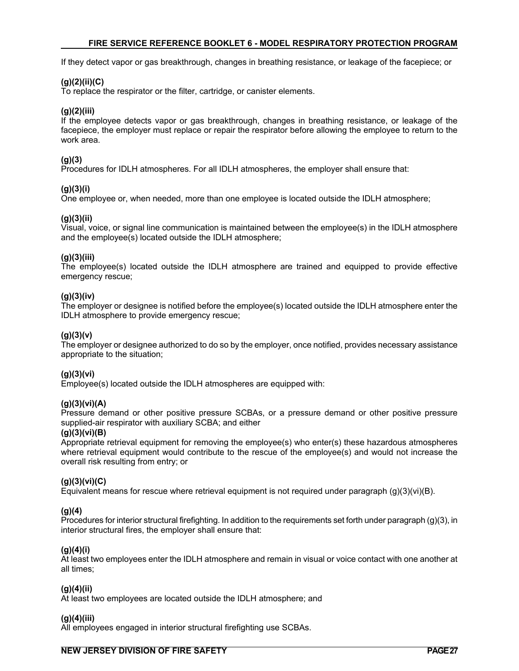If they detect vapor or gas breakthrough, changes in breathing resistance, or leakage of the facepiece; or

#### **(g)(2)(ii)(C)**

To replace the respirator or the filter, cartridge, or canister elements.

#### **(g)(2)(iii)**

If the employee detects vapor or gas breakthrough, changes in breathing resistance, or leakage of the facepiece, the employer must replace or repair the respirator before allowing the employee to return to the work area.

#### **(g)(3)**

Procedures for IDLH atmospheres. For all IDLH atmospheres, the employer shall ensure that:

#### **(g)(3)(i)**

One employee or, when needed, more than one employee is located outside the IDLH atmosphere;

#### **(g)(3)(ii)**

Visual, voice, or signal line communication is maintained between the employee(s) in the IDLH atmosphere and the employee(s) located outside the IDLH atmosphere;

#### **(g)(3)(iii)**

The employee(s) located outside the IDLH atmosphere are trained and equipped to provide effective emergency rescue;

#### **(g)(3)(iv)**

The employer or designee is notified before the employee(s) located outside the IDLH atmosphere enter the IDLH atmosphere to provide emergency rescue;

#### **(g)(3)(v)**

The employer or designee authorized to do so by the employer, once notified, provides necessary assistance appropriate to the situation;

#### **(g)(3)(vi)**

Employee(s) located outside the IDLH atmospheres are equipped with:

#### **(g)(3)(vi)(A)**

Pressure demand or other positive pressure SCBAs, or a pressure demand or other positive pressure supplied-air respirator with auxiliary SCBA; and either

#### **(g)(3)(vi)(B)**

Appropriate retrieval equipment for removing the employee(s) who enter(s) these hazardous atmospheres where retrieval equipment would contribute to the rescue of the employee(s) and would not increase the overall risk resulting from entry; or

#### **(g)(3)(vi)(C)**

Equivalent means for rescue where retrieval equipment is not required under paragraph  $(q)(3)(vi)(B)$ .

#### **(g)(4)**

Procedures for interior structural firefighting. In addition to the requirements set forth under paragraph (g)(3), in interior structural fires, the employer shall ensure that:

#### **(g)(4)(i)**

At least two employees enter the IDLH atmosphere and remain in visual or voice contact with one another at all times;

#### **(g)(4)(ii)**

At least two employees are located outside the IDLH atmosphere; and

#### **(g)(4)(iii)**

All employees engaged in interior structural firefighting use SCBAs.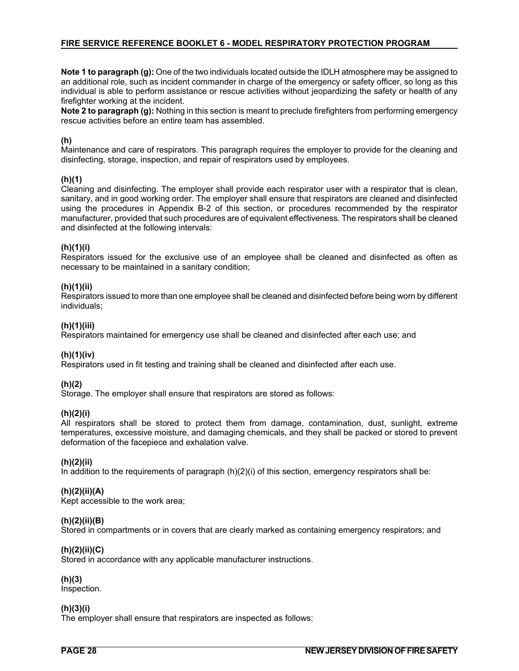**Note 1 to paragraph (g):** One of the two individuals located outside the IDLH atmosphere may be assigned to an additional role, such as incident commander in charge of the emergency or safety officer, so long as this individual is able to perform assistance or rescue activities without jeopardizing the safety or health of any firefighter working at the incident.

**Note 2 to paragraph (g):** Nothing in this section is meant to preclude firefighters from performing emergency rescue activities before an entire team has assembled.

#### **(h)**

Maintenance and care of respirators. This paragraph requires the employer to provide for the cleaning and disinfecting, storage, inspection, and repair of respirators used by employees.

#### **(h)(1)**

Cleaning and disinfecting. The employer shall provide each respirator user with a respirator that is clean, sanitary, and in good working order. The employer shall ensure that respirators are cleaned and disinfected using the procedures in Appendix B-2 of this section, or procedures recommended by the respirator manufacturer, provided that such procedures are of equivalent effectiveness. The respirators shall be cleaned and disinfected at the following intervals:

#### **(h)(1)(i)**

Respirators issued for the exclusive use of an employee shall be cleaned and disinfected as often as necessary to be maintained in a sanitary condition;

#### **(h)(1)(ii)**

Respirators issued to more than one employee shall be cleaned and disinfected before being worn by different individuals;

#### **(h)(1)(iii)**

Respirators maintained for emergency use shall be cleaned and disinfected after each use; and

#### **(h)(1)(iv)**

Respirators used in fit testing and training shall be cleaned and disinfected after each use.

#### **(h)(2)**

Storage. The employer shall ensure that respirators are stored as follows:

#### **(h)(2)(i)**

All respirators shall be stored to protect them from damage, contamination, dust, sunlight, extreme temperatures, excessive moisture, and damaging chemicals, and they shall be packed or stored to prevent deformation of the facepiece and exhalation valve.

#### **(h)(2)(ii)**

In addition to the requirements of paragraph  $(h)(2)(i)$  of this section, emergency respirators shall be:

#### **(h)(2)(ii)(A)**

Kept accessible to the work area;

#### **(h)(2)(ii)(B)**

Stored in compartments or in covers that are clearly marked as containing emergency respirators; and

#### **(h)(2)(ii)(C)**

Stored in accordance with any applicable manufacturer instructions.

#### **(h)(3)**

Inspection.

#### **(h)(3)(i)**

The employer shall ensure that respirators are inspected as follows: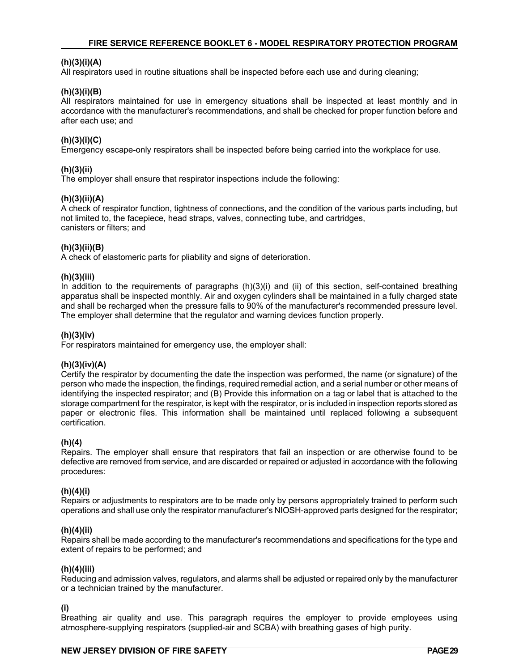#### **(h)(3)(i)(A)**

All respirators used in routine situations shall be inspected before each use and during cleaning;

#### **(h)(3)(i)(B)**

All respirators maintained for use in emergency situations shall be inspected at least monthly and in accordance with the manufacturer's recommendations, and shall be checked for proper function before and after each use; and

#### **(h)(3)(i)(C)**

Emergency escape-only respirators shall be inspected before being carried into the workplace for use.

#### **(h)(3)(ii)**

The employer shall ensure that respirator inspections include the following:

#### **(h)(3)(ii)(A)**

A check of respirator function, tightness of connections, and the condition of the various parts including, but not limited to, the facepiece, head straps, valves, connecting tube, and cartridges, canisters or filters; and

#### **(h)(3)(ii)(B)**

A check of elastomeric parts for pliability and signs of deterioration.

#### **(h)(3)(iii)**

In addition to the requirements of paragraphs  $(h)(3)(i)$  and (ii) of this section, self-contained breathing apparatus shall be inspected monthly. Air and oxygen cylinders shall be maintained in a fully charged state and shall be recharged when the pressure falls to 90% of the manufacturer's recommended pressure level. The employer shall determine that the regulator and warning devices function properly.

#### **(h)(3)(iv)**

For respirators maintained for emergency use, the employer shall:

#### **(h)(3)(iv)(A)**

Certify the respirator by documenting the date the inspection was performed, the name (or signature) of the person who made the inspection, the findings, required remedial action, and a serial number or other means of identifying the inspected respirator; and (B) Provide this information on a tag or label that is attached to the storage compartment for the respirator, is kept with the respirator, or is included in inspection reports stored as paper or electronic files. This information shall be maintained until replaced following a subsequent certification.

#### **(h)(4)**

Repairs. The employer shall ensure that respirators that fail an inspection or are otherwise found to be defective are removed from service, and are discarded or repaired or adjusted in accordance with the following procedures:

#### **(h)(4)(i)**

Repairs or adjustments to respirators are to be made only by persons appropriately trained to perform such operations and shall use only the respirator manufacturer's NIOSH-approved parts designed for the respirator;

#### **(h)(4)(ii)**

Repairs shall be made according to the manufacturer's recommendations and specifications for the type and extent of repairs to be performed; and

#### **(h)(4)(iii)**

Reducing and admission valves, regulators, and alarms shall be adjusted or repaired only by the manufacturer or a technician trained by the manufacturer.

#### **(i)**

Breathing air quality and use. This paragraph requires the employer to provide employees using atmosphere-supplying respirators (supplied-air and SCBA) with breathing gases of high purity.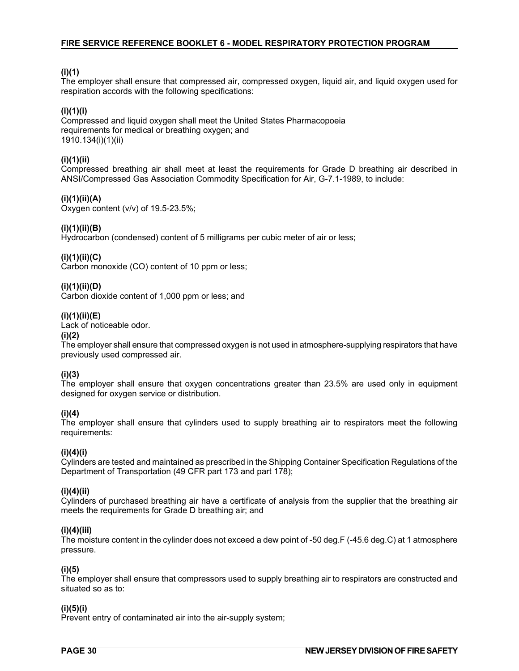#### **(i)(1)**

The employer shall ensure that compressed air, compressed oxygen, liquid air, and liquid oxygen used for respiration accords with the following specifications:

#### **(i)(1)(i)**

Compressed and liquid oxygen shall meet the United States Pharmacopoeia requirements for medical or breathing oxygen; and 1910.134(i)(1)(ii)

#### **(i)(1)(ii)**

Compressed breathing air shall meet at least the requirements for Grade D breathing air described in ANSI/Compressed Gas Association Commodity Specification for Air, G-7.1-1989, to include:

#### **(i)(1)(ii)(A)**

Oxygen content (v/v) of 19.5-23.5%;

#### **(i)(1)(ii)(B)**

Hydrocarbon (condensed) content of 5 milligrams per cubic meter of air or less;

#### **(i)(1)(ii)(C)**

Carbon monoxide (CO) content of 10 ppm or less;

#### **(i)(1)(ii)(D)**

Carbon dioxide content of 1,000 ppm or less; and

#### **(i)(1)(ii)(E)**

Lack of noticeable odor.

#### **(i)(2)**

The employer shall ensure that compressed oxygen is not used in atmosphere-supplying respirators that have previously used compressed air.

#### **(i)(3)**

The employer shall ensure that oxygen concentrations greater than 23.5% are used only in equipment designed for oxygen service or distribution.

#### **(i)(4)**

The employer shall ensure that cylinders used to supply breathing air to respirators meet the following requirements:

#### **(i)(4)(i)**

Cylinders are tested and maintained as prescribed in the Shipping Container Specification Regulations of the Department of Transportation (49 CFR part 173 and part 178);

#### **(i)(4)(ii)**

Cylinders of purchased breathing air have a certificate of analysis from the supplier that the breathing air meets the requirements for Grade D breathing air; and

#### **(i)(4)(iii)**

The moisture content in the cylinder does not exceed a dew point of -50 deg.F (-45.6 deg.C) at 1 atmosphere pressure.

#### **(i)(5)**

The employer shall ensure that compressors used to supply breathing air to respirators are constructed and situated so as to:

#### **(i)(5)(i)**

Prevent entry of contaminated air into the air-supply system;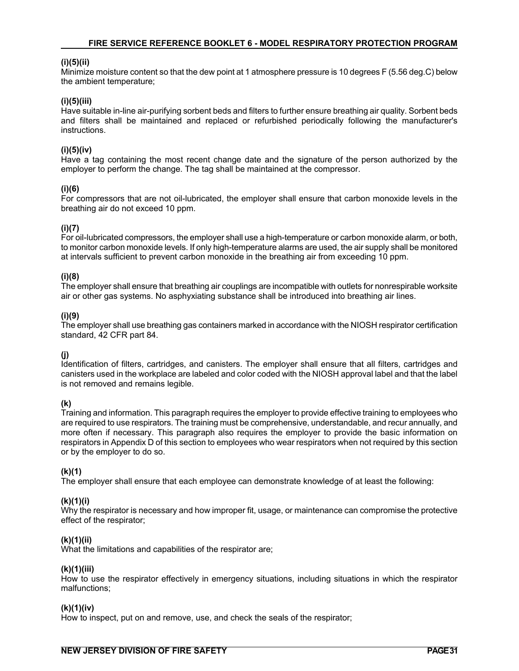#### **(i)(5)(ii)**

Minimize moisture content so that the dew point at 1 atmosphere pressure is 10 degrees F (5.56 deg.C) below the ambient temperature;

#### **(i)(5)(iii)**

Have suitable in-line air-purifying sorbent beds and filters to further ensure breathing air quality. Sorbent beds and filters shall be maintained and replaced or refurbished periodically following the manufacturer's instructions.

#### **(i)(5)(iv)**

Have a tag containing the most recent change date and the signature of the person authorized by the employer to perform the change. The tag shall be maintained at the compressor.

#### **(i)(6)**

For compressors that are not oil-lubricated, the employer shall ensure that carbon monoxide levels in the breathing air do not exceed 10 ppm.

#### **(i)(7)**

For oil-lubricated compressors, the employer shall use a high-temperature or carbon monoxide alarm, or both, to monitor carbon monoxide levels. If only high-temperature alarms are used, the air supply shall be monitored at intervals sufficient to prevent carbon monoxide in the breathing air from exceeding 10 ppm.

#### **(i)(8)**

The employer shall ensure that breathing air couplings are incompatible with outlets for nonrespirable worksite air or other gas systems. No asphyxiating substance shall be introduced into breathing air lines.

#### **(i)(9)**

The employer shall use breathing gas containers marked in accordance with the NIOSH respirator certification standard, 42 CFR part 84.

#### **(j)**

Identification of filters, cartridges, and canisters. The employer shall ensure that all filters, cartridges and canisters used in the workplace are labeled and color coded with the NIOSH approval label and that the label is not removed and remains legible.

#### **(k)**

Training and information. This paragraph requires the employer to provide effective training to employees who are required to use respirators. The training must be comprehensive, understandable, and recur annually, and more often if necessary. This paragraph also requires the employer to provide the basic information on respirators in Appendix D of this section to employees who wear respirators when not required by this section or by the employer to do so.

#### **(k)(1)**

The employer shall ensure that each employee can demonstrate knowledge of at least the following:

#### **(k)(1)(i)**

Why the respirator is necessary and how improper fit, usage, or maintenance can compromise the protective effect of the respirator;

#### **(k)(1)(ii)**

What the limitations and capabilities of the respirator are;

#### **(k)(1)(iii)**

How to use the respirator effectively in emergency situations, including situations in which the respirator malfunctions;

#### **(k)(1)(iv)**

How to inspect, put on and remove, use, and check the seals of the respirator;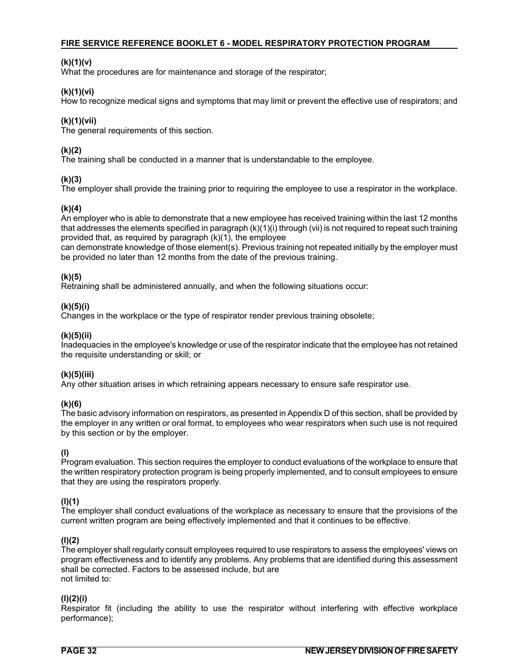#### **(k)(1)(v)**

What the procedures are for maintenance and storage of the respirator;

#### **(k)(1)(vi)**

How to recognize medical signs and symptoms that may limit or prevent the effective use of respirators; and

#### **(k)(1)(vii)**

The general requirements of this section.

#### **(k)(2)**

The training shall be conducted in a manner that is understandable to the employee.

#### **(k)(3)**

The employer shall provide the training prior to requiring the employee to use a respirator in the workplace.

#### **(k)(4)**

An employer who is able to demonstrate that a new employee has received training within the last 12 months that addresses the elements specified in paragraph (k)(1)(i) through (vii) is not required to repeat such training provided that, as required by paragraph  $(k)(1)$ , the employee

can demonstrate knowledge of those element(s). Previous training not repeated initially by the employer must be provided no later than 12 months from the date of the previous training.

#### **(k)(5)**

Retraining shall be administered annually, and when the following situations occur:

#### **(k)(5)(i)**

Changes in the workplace or the type of respirator render previous training obsolete;

#### **(k)(5)(ii)**

Inadequacies in the employee's knowledge or use of the respirator indicate that the employee has not retained the requisite understanding or skill; or

#### **(k)(5)(iii)**

Any other situation arises in which retraining appears necessary to ensure safe respirator use.

#### **(k)(6)**

The basic advisory information on respirators, as presented in Appendix D of this section, shall be provided by the employer in any written or oral format, to employees who wear respirators when such use is not required by this section or by the employer.

#### **(l)**

Program evaluation. This section requires the employer to conduct evaluations of the workplace to ensure that the written respiratory protection program is being properly implemented, and to consult employees to ensure that they are using the respirators properly.

#### **(l)(1)**

The employer shall conduct evaluations of the workplace as necessary to ensure that the provisions of the current written program are being effectively implemented and that it continues to be effective.

#### **(l)(2)**

The employer shall regularly consult employees required to use respirators to assess the employees' views on program effectiveness and to identify any problems. Any problems that are identified during this assessment shall be corrected. Factors to be assessed include, but are not limited to:

#### **(l)(2)(i)**

Respirator fit (including the ability to use the respirator without interfering with effective workplace performance);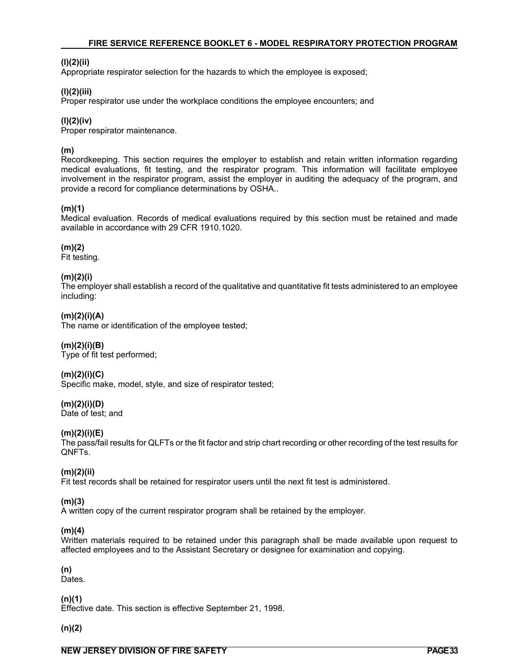#### **(l)(2)(ii)**

Appropriate respirator selection for the hazards to which the employee is exposed;

#### **(l)(2)(iii)**

Proper respirator use under the workplace conditions the employee encounters; and

#### **(l)(2)(iv)**

Proper respirator maintenance.

#### **(m)**

Recordkeeping. This section requires the employer to establish and retain written information regarding medical evaluations, fit testing, and the respirator program. This information will facilitate employee involvement in the respirator program, assist the employer in auditing the adequacy of the program, and provide a record for compliance determinations by OSHA..

#### **(m)(1)**

Medical evaluation. Records of medical evaluations required by this section must be retained and made available in accordance with 29 CFR 1910.1020.

#### **(m)(2)**

Fit testing.

#### **(m)(2)(i)**

The employer shall establish a record of the qualitative and quantitative fit tests administered to an employee including:

#### **(m)(2)(i)(A)**

The name or identification of the employee tested;

#### **(m)(2)(i)(B)**

Type of fit test performed;

#### **(m)(2)(i)(C)**

Specific make, model, style, and size of respirator tested;

#### **(m)(2)(i)(D)**

Date of test; and

#### **(m)(2)(i)(E)**

The pass/fail results for QLFTs or the fit factor and strip chart recording or other recording of the test results for QNFTs.

#### **(m)(2)(ii)**

Fit test records shall be retained for respirator users until the next fit test is administered.

#### **(m)(3)**

A written copy of the current respirator program shall be retained by the employer.

#### **(m)(4)**

Written materials required to be retained under this paragraph shall be made available upon request to affected employees and to the Assistant Secretary or designee for examination and copying.

**(n)** 

Dates.

#### **(n)(1)**

Effective date. This section is effective September 21, 1998.

**(n)(2)**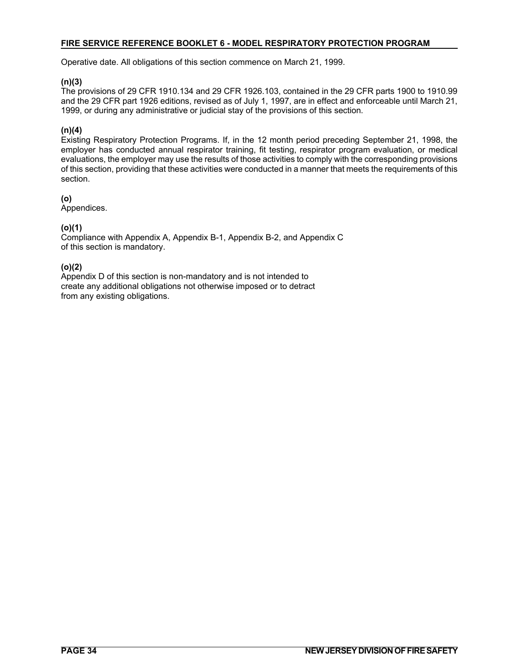Operative date. All obligations of this section commence on March 21, 1999.

#### **(n)(3)**

The provisions of 29 CFR 1910.134 and 29 CFR 1926.103, contained in the 29 CFR parts 1900 to 1910.99 and the 29 CFR part 1926 editions, revised as of July 1, 1997, are in effect and enforceable until March 21, 1999, or during any administrative or judicial stay of the provisions of this section.

#### **(n)(4)**

Existing Respiratory Protection Programs. If, in the 12 month period preceding September 21, 1998, the employer has conducted annual respirator training, fit testing, respirator program evaluation, or medical evaluations, the employer may use the results of those activities to comply with the corresponding provisions of this section, providing that these activities were conducted in a manner that meets the requirements of this section.

**(o)** 

Appendices.

#### **(o)(1)**

Compliance with Appendix A, Appendix B-1, Appendix B-2, and Appendix C of this section is mandatory.

#### **(o)(2)**

Appendix D of this section is non-mandatory and is not intended to create any additional obligations not otherwise imposed or to detract from any existing obligations.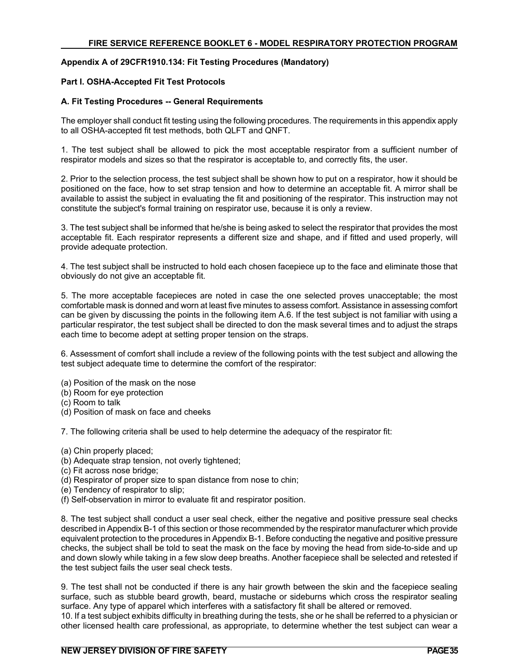#### **Appendix A of 29CFR1910.134: Fit Testing Procedures (Mandatory)**

#### **Part I. OSHA-Accepted Fit Test Protocols**

#### **A. Fit Testing Procedures -- General Requirements**

The employer shall conduct fit testing using the following procedures. The requirements in this appendix apply to all OSHA-accepted fit test methods, both QLFT and QNFT.

1. The test subject shall be allowed to pick the most acceptable respirator from a sufficient number of respirator models and sizes so that the respirator is acceptable to, and correctly fits, the user.

2. Prior to the selection process, the test subject shall be shown how to put on a respirator, how it should be positioned on the face, how to set strap tension and how to determine an acceptable fit. A mirror shall be available to assist the subject in evaluating the fit and positioning of the respirator. This instruction may not constitute the subject's formal training on respirator use, because it is only a review.

3. The test subject shall be informed that he/she is being asked to select the respirator that provides the most acceptable fit. Each respirator represents a different size and shape, and if fitted and used properly, will provide adequate protection.

4. The test subject shall be instructed to hold each chosen facepiece up to the face and eliminate those that obviously do not give an acceptable fit.

5. The more acceptable facepieces are noted in case the one selected proves unacceptable; the most comfortable mask is donned and worn at least five minutes to assess comfort. Assistance in assessing comfort can be given by discussing the points in the following item A.6. If the test subject is not familiar with using a particular respirator, the test subject shall be directed to don the mask several times and to adjust the straps each time to become adept at setting proper tension on the straps.

6. Assessment of comfort shall include a review of the following points with the test subject and allowing the test subject adequate time to determine the comfort of the respirator:

(a) Position of the mask on the nose

- (b) Room for eye protection
- (c) Room to talk
- (d) Position of mask on face and cheeks

7. The following criteria shall be used to help determine the adequacy of the respirator fit:

- (a) Chin properly placed;
- (b) Adequate strap tension, not overly tightened;
- (c) Fit across nose bridge;
- (d) Respirator of proper size to span distance from nose to chin;
- (e) Tendency of respirator to slip;
- (f) Self-observation in mirror to evaluate fit and respirator position.

8. The test subject shall conduct a user seal check, either the negative and positive pressure seal checks described in Appendix B-1 of this section or those recommended by the respirator manufacturer which provide equivalent protection to the procedures in Appendix B-1. Before conducting the negative and positive pressure checks, the subject shall be told to seat the mask on the face by moving the head from side-to-side and up and down slowly while taking in a few slow deep breaths. Another facepiece shall be selected and retested if the test subject fails the user seal check tests.

9. The test shall not be conducted if there is any hair growth between the skin and the facepiece sealing surface, such as stubble beard growth, beard, mustache or sideburns which cross the respirator sealing surface. Any type of apparel which interferes with a satisfactory fit shall be altered or removed. 10. If a test subject exhibits difficulty in breathing during the tests, she or he shall be referred to a physician or other licensed health care professional, as appropriate, to determine whether the test subject can wear a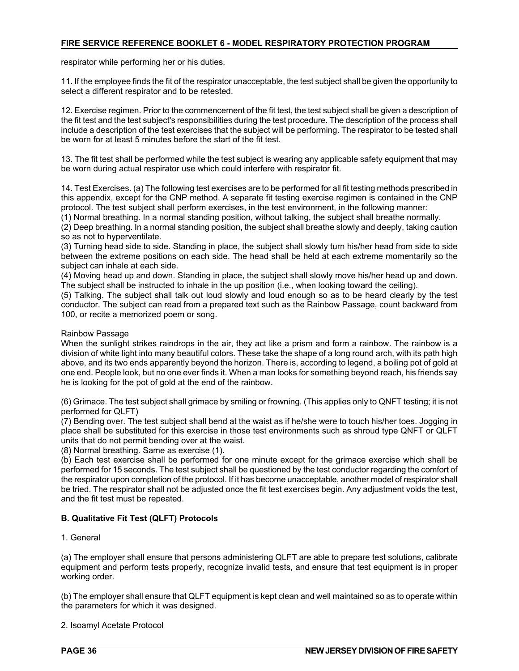respirator while performing her or his duties.

11. If the employee finds the fit of the respirator unacceptable, the test subject shall be given the opportunity to select a different respirator and to be retested.

12. Exercise regimen. Prior to the commencement of the fit test, the test subject shall be given a description of the fit test and the test subject's responsibilities during the test procedure. The description of the process shall include a description of the test exercises that the subject will be performing. The respirator to be tested shall be worn for at least 5 minutes before the start of the fit test.

13. The fit test shall be performed while the test subject is wearing any applicable safety equipment that may be worn during actual respirator use which could interfere with respirator fit.

14. Test Exercises. (a) The following test exercises are to be performed for all fit testing methods prescribed in this appendix, except for the CNP method. A separate fit testing exercise regimen is contained in the CNP protocol. The test subject shall perform exercises, in the test environment, in the following manner:

(1) Normal breathing. In a normal standing position, without talking, the subject shall breathe normally.

(2) Deep breathing. In a normal standing position, the subject shall breathe slowly and deeply, taking caution so as not to hyperventilate.

(3) Turning head side to side. Standing in place, the subject shall slowly turn his/her head from side to side between the extreme positions on each side. The head shall be held at each extreme momentarily so the subject can inhale at each side.

(4) Moving head up and down. Standing in place, the subject shall slowly move his/her head up and down. The subject shall be instructed to inhale in the up position (i.e., when looking toward the ceiling).

(5) Talking. The subject shall talk out loud slowly and loud enough so as to be heard clearly by the test conductor. The subject can read from a prepared text such as the Rainbow Passage, count backward from 100, or recite a memorized poem or song.

#### Rainbow Passage

When the sunlight strikes raindrops in the air, they act like a prism and form a rainbow. The rainbow is a division of white light into many beautiful colors. These take the shape of a long round arch, with its path high above, and its two ends apparently beyond the horizon. There is, according to legend, a boiling pot of gold at one end. People look, but no one ever finds it. When a man looks for something beyond reach, his friends say he is looking for the pot of gold at the end of the rainbow.

(6) Grimace. The test subject shall grimace by smiling or frowning. (This applies only to QNFT testing; it is not performed for QLFT)

(7) Bending over. The test subject shall bend at the waist as if he/she were to touch his/her toes. Jogging in place shall be substituted for this exercise in those test environments such as shroud type QNFT or QLFT units that do not permit bending over at the waist.

(8) Normal breathing. Same as exercise (1).

(b) Each test exercise shall be performed for one minute except for the grimace exercise which shall be performed for 15 seconds. The test subject shall be questioned by the test conductor regarding the comfort of the respirator upon completion of the protocol. If it has become unacceptable, another model of respirator shall be tried. The respirator shall not be adjusted once the fit test exercises begin. Any adjustment voids the test, and the fit test must be repeated.

#### **B. Qualitative Fit Test (QLFT) Protocols**

#### 1. General

(a) The employer shall ensure that persons administering QLFT are able to prepare test solutions, calibrate equipment and perform tests properly, recognize invalid tests, and ensure that test equipment is in proper working order.

(b) The employer shall ensure that QLFT equipment is kept clean and well maintained so as to operate within the parameters for which it was designed.

2. Isoamyl Acetate Protocol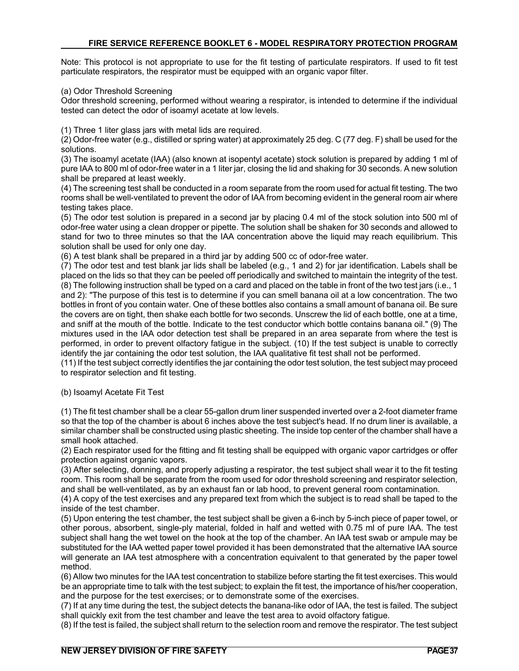Note: This protocol is not appropriate to use for the fit testing of particulate respirators. If used to fit test particulate respirators, the respirator must be equipped with an organic vapor filter.

(a) Odor Threshold Screening

Odor threshold screening, performed without wearing a respirator, is intended to determine if the individual tested can detect the odor of isoamyl acetate at low levels.

(1) Three 1 liter glass jars with metal lids are required.

(2) Odor-free water (e.g., distilled or spring water) at approximately 25 deg. C (77 deg. F) shall be used for the solutions.

(3) The isoamyl acetate (IAA) (also known at isopentyl acetate) stock solution is prepared by adding 1 ml of pure IAA to 800 ml of odor-free water in a 1 liter jar, closing the lid and shaking for 30 seconds. A new solution shall be prepared at least weekly.

(4) The screening test shall be conducted in a room separate from the room used for actual fit testing. The two rooms shall be well-ventilated to prevent the odor of IAA from becoming evident in the general room air where testing takes place.

(5) The odor test solution is prepared in a second jar by placing 0.4 ml of the stock solution into 500 ml of odor-free water using a clean dropper or pipette. The solution shall be shaken for 30 seconds and allowed to stand for two to three minutes so that the IAA concentration above the liquid may reach equilibrium. This solution shall be used for only one day.

(6) A test blank shall be prepared in a third jar by adding 500 cc of odor-free water.

(7) The odor test and test blank jar lids shall be labeled (e.g., 1 and 2) for jar identification. Labels shall be placed on the lids so that they can be peeled off periodically and switched to maintain the integrity of the test. (8) The following instruction shall be typed on a card and placed on the table in front of the two test jars (i.e., 1 and 2): "The purpose of this test is to determine if you can smell banana oil at a low concentration. The two bottles in front of you contain water. One of these bottles also contains a small amount of banana oil. Be sure the covers are on tight, then shake each bottle for two seconds. Unscrew the lid of each bottle, one at a time, and sniff at the mouth of the bottle. Indicate to the test conductor which bottle contains banana oil." (9) The mixtures used in the IAA odor detection test shall be prepared in an area separate from where the test is performed, in order to prevent olfactory fatigue in the subject. (10) If the test subject is unable to correctly identify the jar containing the odor test solution, the IAA qualitative fit test shall not be performed.

(11) If the test subject correctly identifies the jar containing the odor test solution, the test subject may proceed to respirator selection and fit testing.

(b) Isoamyl Acetate Fit Test

(1) The fit test chamber shall be a clear 55-gallon drum liner suspended inverted over a 2-foot diameter frame so that the top of the chamber is about 6 inches above the test subject's head. If no drum liner is available, a similar chamber shall be constructed using plastic sheeting. The inside top center of the chamber shall have a small hook attached.

(2) Each respirator used for the fitting and fit testing shall be equipped with organic vapor cartridges or offer protection against organic vapors.

(3) After selecting, donning, and properly adjusting a respirator, the test subject shall wear it to the fit testing room. This room shall be separate from the room used for odor threshold screening and respirator selection, and shall be well-ventilated, as by an exhaust fan or lab hood, to prevent general room contamination.

(4) A copy of the test exercises and any prepared text from which the subject is to read shall be taped to the inside of the test chamber.

(5) Upon entering the test chamber, the test subject shall be given a 6-inch by 5-inch piece of paper towel, or other porous, absorbent, single-ply material, folded in half and wetted with 0.75 ml of pure IAA. The test subject shall hang the wet towel on the hook at the top of the chamber. An IAA test swab or ampule may be substituted for the IAA wetted paper towel provided it has been demonstrated that the alternative IAA source will generate an IAA test atmosphere with a concentration equivalent to that generated by the paper towel method.

(6) Allow two minutes for the IAA test concentration to stabilize before starting the fit test exercises. This would be an appropriate time to talk with the test subject; to explain the fit test, the importance of his/her cooperation, and the purpose for the test exercises; or to demonstrate some of the exercises.

(7) If at any time during the test, the subject detects the banana-like odor of IAA, the test is failed. The subject shall quickly exit from the test chamber and leave the test area to avoid olfactory fatigue.

(8) If the test is failed, the subject shall return to the selection room and remove the respirator. The test subject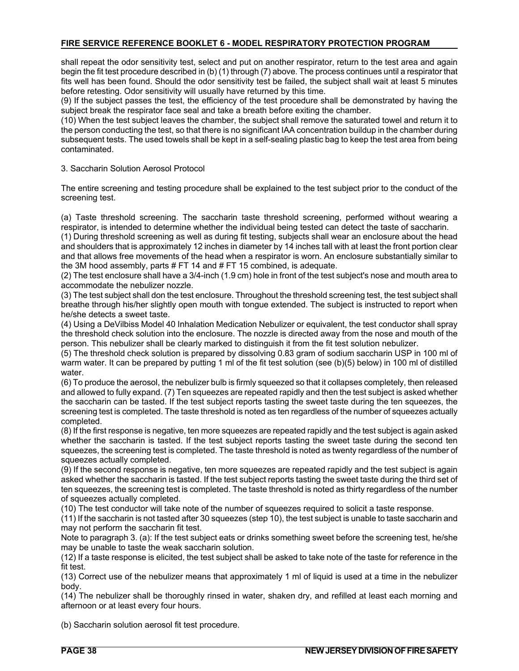shall repeat the odor sensitivity test, select and put on another respirator, return to the test area and again begin the fit test procedure described in (b) (1) through (7) above. The process continues until a respirator that fits well has been found. Should the odor sensitivity test be failed, the subject shall wait at least 5 minutes before retesting. Odor sensitivity will usually have returned by this time.

(9) If the subject passes the test, the efficiency of the test procedure shall be demonstrated by having the subject break the respirator face seal and take a breath before exiting the chamber.

(10) When the test subject leaves the chamber, the subject shall remove the saturated towel and return it to the person conducting the test, so that there is no significant IAA concentration buildup in the chamber during subsequent tests. The used towels shall be kept in a self-sealing plastic bag to keep the test area from being contaminated.

#### 3. Saccharin Solution Aerosol Protocol

The entire screening and testing procedure shall be explained to the test subject prior to the conduct of the screening test.

(a) Taste threshold screening. The saccharin taste threshold screening, performed without wearing a respirator, is intended to determine whether the individual being tested can detect the taste of saccharin.

(1) During threshold screening as well as during fit testing, subjects shall wear an enclosure about the head and shoulders that is approximately 12 inches in diameter by 14 inches tall with at least the front portion clear and that allows free movements of the head when a respirator is worn. An enclosure substantially similar to the 3M hood assembly, parts # FT 14 and # FT 15 combined, is adequate.

(2) The test enclosure shall have a 3/4-inch (1.9 cm) hole in front of the test subject's nose and mouth area to accommodate the nebulizer nozzle.

(3) The test subject shall don the test enclosure. Throughout the threshold screening test, the test subject shall breathe through his/her slightly open mouth with tongue extended. The subject is instructed to report when he/she detects a sweet taste.

(4) Using a DeVilbiss Model 40 Inhalation Medication Nebulizer or equivalent, the test conductor shall spray the threshold check solution into the enclosure. The nozzle is directed away from the nose and mouth of the person. This nebulizer shall be clearly marked to distinguish it from the fit test solution nebulizer.

(5) The threshold check solution is prepared by dissolving 0.83 gram of sodium saccharin USP in 100 ml of warm water. It can be prepared by putting 1 ml of the fit test solution (see (b)(5) below) in 100 ml of distilled water.

(6) To produce the aerosol, the nebulizer bulb is firmly squeezed so that it collapses completely, then released and allowed to fully expand. (7) Ten squeezes are repeated rapidly and then the test subject is asked whether the saccharin can be tasted. If the test subject reports tasting the sweet taste during the ten squeezes, the screening test is completed. The taste threshold is noted as ten regardless of the number of squeezes actually completed.

(8) If the first response is negative, ten more squeezes are repeated rapidly and the test subject is again asked whether the saccharin is tasted. If the test subject reports tasting the sweet taste during the second ten squeezes, the screening test is completed. The taste threshold is noted as twenty regardless of the number of squeezes actually completed.

(9) If the second response is negative, ten more squeezes are repeated rapidly and the test subject is again asked whether the saccharin is tasted. If the test subject reports tasting the sweet taste during the third set of ten squeezes, the screening test is completed. The taste threshold is noted as thirty regardless of the number of squeezes actually completed.

(10) The test conductor will take note of the number of squeezes required to solicit a taste response.

(11) If the saccharin is not tasted after 30 squeezes (step 10), the test subject is unable to taste saccharin and may not perform the saccharin fit test.

Note to paragraph 3. (a): If the test subject eats or drinks something sweet before the screening test, he/she may be unable to taste the weak saccharin solution.

(12) If a taste response is elicited, the test subject shall be asked to take note of the taste for reference in the fit test.

(13) Correct use of the nebulizer means that approximately 1 ml of liquid is used at a time in the nebulizer body.

(14) The nebulizer shall be thoroughly rinsed in water, shaken dry, and refilled at least each morning and afternoon or at least every four hours.

(b) Saccharin solution aerosol fit test procedure.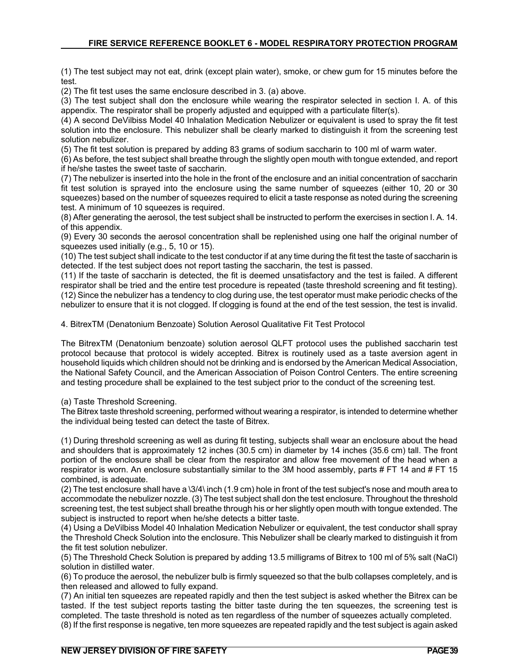(1) The test subject may not eat, drink (except plain water), smoke, or chew gum for 15 minutes before the test.

(2) The fit test uses the same enclosure described in 3. (a) above.

(3) The test subject shall don the enclosure while wearing the respirator selected in section I. A. of this appendix. The respirator shall be properly adjusted and equipped with a particulate filter(s).

(4) A second DeVilbiss Model 40 Inhalation Medication Nebulizer or equivalent is used to spray the fit test solution into the enclosure. This nebulizer shall be clearly marked to distinguish it from the screening test solution nebulizer.

(5) The fit test solution is prepared by adding 83 grams of sodium saccharin to 100 ml of warm water.

(6) As before, the test subject shall breathe through the slightly open mouth with tongue extended, and report if he/she tastes the sweet taste of saccharin.

(7) The nebulizer is inserted into the hole in the front of the enclosure and an initial concentration of saccharin fit test solution is sprayed into the enclosure using the same number of squeezes (either 10, 20 or 30 squeezes) based on the number of squeezes required to elicit a taste response as noted during the screening test. A minimum of 10 squeezes is required.

(8) After generating the aerosol, the test subject shall be instructed to perform the exercises in section I. A. 14. of this appendix.

(9) Every 30 seconds the aerosol concentration shall be replenished using one half the original number of squeezes used initially (e.g., 5, 10 or 15).

(10) The test subject shall indicate to the test conductor if at any time during the fit test the taste of saccharin is detected. If the test subject does not report tasting the saccharin, the test is passed.

(11) If the taste of saccharin is detected, the fit is deemed unsatisfactory and the test is failed. A different respirator shall be tried and the entire test procedure is repeated (taste threshold screening and fit testing). (12) Since the nebulizer has a tendency to clog during use, the test operator must make periodic checks of the nebulizer to ensure that it is not clogged. If clogging is found at the end of the test session, the test is invalid.

4. BitrexTM (Denatonium Benzoate) Solution Aerosol Qualitative Fit Test Protocol

The BitrexTM (Denatonium benzoate) solution aerosol QLFT protocol uses the published saccharin test protocol because that protocol is widely accepted. Bitrex is routinely used as a taste aversion agent in household liquids which children should not be drinking and is endorsed by the American Medical Association, the National Safety Council, and the American Association of Poison Control Centers. The entire screening and testing procedure shall be explained to the test subject prior to the conduct of the screening test.

(a) Taste Threshold Screening.

The Bitrex taste threshold screening, performed without wearing a respirator, is intended to determine whether the individual being tested can detect the taste of Bitrex.

(1) During threshold screening as well as during fit testing, subjects shall wear an enclosure about the head and shoulders that is approximately 12 inches (30.5 cm) in diameter by 14 inches (35.6 cm) tall. The front portion of the enclosure shall be clear from the respirator and allow free movement of the head when a respirator is worn. An enclosure substantially similar to the 3M hood assembly, parts # FT 14 and # FT 15 combined, is adequate.

(2) The test enclosure shall have a \3/4\ inch (1.9 cm) hole in front of the test subject's nose and mouth area to accommodate the nebulizer nozzle. (3) The test subject shall don the test enclosure. Throughout the threshold screening test, the test subject shall breathe through his or her slightly open mouth with tongue extended. The subject is instructed to report when he/she detects a bitter taste.

(4) Using a DeVilbiss Model 40 Inhalation Medication Nebulizer or equivalent, the test conductor shall spray the Threshold Check Solution into the enclosure. This Nebulizer shall be clearly marked to distinguish it from the fit test solution nebulizer.

(5) The Threshold Check Solution is prepared by adding 13.5 milligrams of Bitrex to 100 ml of 5% salt (NaCl) solution in distilled water.

(6) To produce the aerosol, the nebulizer bulb is firmly squeezed so that the bulb collapses completely, and is then released and allowed to fully expand.

(7) An initial ten squeezes are repeated rapidly and then the test subject is asked whether the Bitrex can be tasted. If the test subject reports tasting the bitter taste during the ten squeezes, the screening test is completed. The taste threshold is noted as ten regardless of the number of squeezes actually completed. (8) If the first response is negative, ten more squeezes are repeated rapidly and the test subject is again asked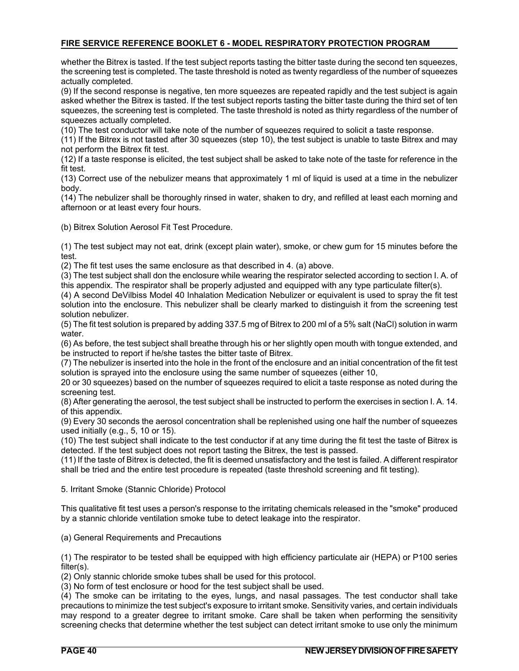whether the Bitrex is tasted. If the test subject reports tasting the bitter taste during the second ten squeezes, the screening test is completed. The taste threshold is noted as twenty regardless of the number of squeezes actually completed.

(9) If the second response is negative, ten more squeezes are repeated rapidly and the test subject is again asked whether the Bitrex is tasted. If the test subject reports tasting the bitter taste during the third set of ten squeezes, the screening test is completed. The taste threshold is noted as thirty regardless of the number of squeezes actually completed.

(10) The test conductor will take note of the number of squeezes required to solicit a taste response.

(11) If the Bitrex is not tasted after 30 squeezes (step 10), the test subject is unable to taste Bitrex and may not perform the Bitrex fit test.

(12) If a taste response is elicited, the test subject shall be asked to take note of the taste for reference in the fit test.

(13) Correct use of the nebulizer means that approximately 1 ml of liquid is used at a time in the nebulizer body.

(14) The nebulizer shall be thoroughly rinsed in water, shaken to dry, and refilled at least each morning and afternoon or at least every four hours.

(b) Bitrex Solution Aerosol Fit Test Procedure.

(1) The test subject may not eat, drink (except plain water), smoke, or chew gum for 15 minutes before the test.

(2) The fit test uses the same enclosure as that described in 4. (a) above.

(3) The test subject shall don the enclosure while wearing the respirator selected according to section I. A. of this appendix. The respirator shall be properly adjusted and equipped with any type particulate filter(s).

(4) A second DeVilbiss Model 40 Inhalation Medication Nebulizer or equivalent is used to spray the fit test solution into the enclosure. This nebulizer shall be clearly marked to distinguish it from the screening test solution nebulizer.

(5) The fit test solution is prepared by adding 337.5 mg of Bitrex to 200 ml of a 5% salt (NaCl) solution in warm water.

(6) As before, the test subject shall breathe through his or her slightly open mouth with tongue extended, and be instructed to report if he/she tastes the bitter taste of Bitrex.

(7) The nebulizer is inserted into the hole in the front of the enclosure and an initial concentration of the fit test solution is sprayed into the enclosure using the same number of squeezes (either 10,

20 or 30 squeezes) based on the number of squeezes required to elicit a taste response as noted during the screening test.

(8) After generating the aerosol, the test subject shall be instructed to perform the exercises in section I. A. 14. of this appendix.

(9) Every 30 seconds the aerosol concentration shall be replenished using one half the number of squeezes used initially (e.g., 5, 10 or 15).

(10) The test subject shall indicate to the test conductor if at any time during the fit test the taste of Bitrex is detected. If the test subject does not report tasting the Bitrex, the test is passed.

(11) If the taste of Bitrex is detected, the fit is deemed unsatisfactory and the test is failed. A different respirator shall be tried and the entire test procedure is repeated (taste threshold screening and fit testing).

5. Irritant Smoke (Stannic Chloride) Protocol

This qualitative fit test uses a person's response to the irritating chemicals released in the "smoke" produced by a stannic chloride ventilation smoke tube to detect leakage into the respirator.

(a) General Requirements and Precautions

(1) The respirator to be tested shall be equipped with high efficiency particulate air (HEPA) or P100 series filter(s).

(2) Only stannic chloride smoke tubes shall be used for this protocol.

(3) No form of test enclosure or hood for the test subject shall be used.

(4) The smoke can be irritating to the eyes, lungs, and nasal passages. The test conductor shall take precautions to minimize the test subject's exposure to irritant smoke. Sensitivity varies, and certain individuals may respond to a greater degree to irritant smoke. Care shall be taken when performing the sensitivity screening checks that determine whether the test subject can detect irritant smoke to use only the minimum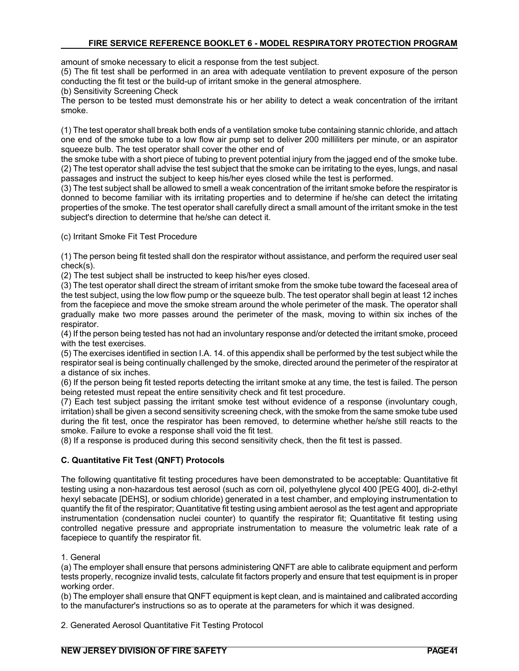amount of smoke necessary to elicit a response from the test subject.

(5) The fit test shall be performed in an area with adequate ventilation to prevent exposure of the person conducting the fit test or the build-up of irritant smoke in the general atmosphere.

(b) Sensitivity Screening Check

The person to be tested must demonstrate his or her ability to detect a weak concentration of the irritant smoke.

(1) The test operator shall break both ends of a ventilation smoke tube containing stannic chloride, and attach one end of the smoke tube to a low flow air pump set to deliver 200 milliliters per minute, or an aspirator squeeze bulb. The test operator shall cover the other end of

the smoke tube with a short piece of tubing to prevent potential injury from the jagged end of the smoke tube. (2) The test operator shall advise the test subject that the smoke can be irritating to the eyes, lungs, and nasal passages and instruct the subject to keep his/her eyes closed while the test is performed.

(3) The test subject shall be allowed to smell a weak concentration of the irritant smoke before the respirator is donned to become familiar with its irritating properties and to determine if he/she can detect the irritating properties of the smoke. The test operator shall carefully direct a small amount of the irritant smoke in the test subject's direction to determine that he/she can detect it.

(c) Irritant Smoke Fit Test Procedure

(1) The person being fit tested shall don the respirator without assistance, and perform the required user seal check(s).

(2) The test subject shall be instructed to keep his/her eyes closed.

(3) The test operator shall direct the stream of irritant smoke from the smoke tube toward the faceseal area of the test subject, using the low flow pump or the squeeze bulb. The test operator shall begin at least 12 inches from the facepiece and move the smoke stream around the whole perimeter of the mask. The operator shall gradually make two more passes around the perimeter of the mask, moving to within six inches of the respirator.

(4) If the person being tested has not had an involuntary response and/or detected the irritant smoke, proceed with the test exercises.

(5) The exercises identified in section I.A. 14. of this appendix shall be performed by the test subject while the respirator seal is being continually challenged by the smoke, directed around the perimeter of the respirator at a distance of six inches.

(6) If the person being fit tested reports detecting the irritant smoke at any time, the test is failed. The person being retested must repeat the entire sensitivity check and fit test procedure.

(7) Each test subject passing the irritant smoke test without evidence of a response (involuntary cough, irritation) shall be given a second sensitivity screening check, with the smoke from the same smoke tube used during the fit test, once the respirator has been removed, to determine whether he/she still reacts to the smoke. Failure to evoke a response shall void the fit test.

(8) If a response is produced during this second sensitivity check, then the fit test is passed.

#### **C. Quantitative Fit Test (QNFT) Protocols**

The following quantitative fit testing procedures have been demonstrated to be acceptable: Quantitative fit testing using a non-hazardous test aerosol (such as corn oil, polyethylene glycol 400 [PEG 400], di-2-ethyl hexyl sebacate [DEHS], or sodium chloride) generated in a test chamber, and employing instrumentation to quantify the fit of the respirator; Quantitative fit testing using ambient aerosol as the test agent and appropriate instrumentation (condensation nuclei counter) to quantify the respirator fit; Quantitative fit testing using controlled negative pressure and appropriate instrumentation to measure the volumetric leak rate of a facepiece to quantify the respirator fit.

1. General

(a) The employer shall ensure that persons administering QNFT are able to calibrate equipment and perform tests properly, recognize invalid tests, calculate fit factors properly and ensure that test equipment is in proper working order.

(b) The employer shall ensure that QNFT equipment is kept clean, and is maintained and calibrated according to the manufacturer's instructions so as to operate at the parameters for which it was designed.

2. Generated Aerosol Quantitative Fit Testing Protocol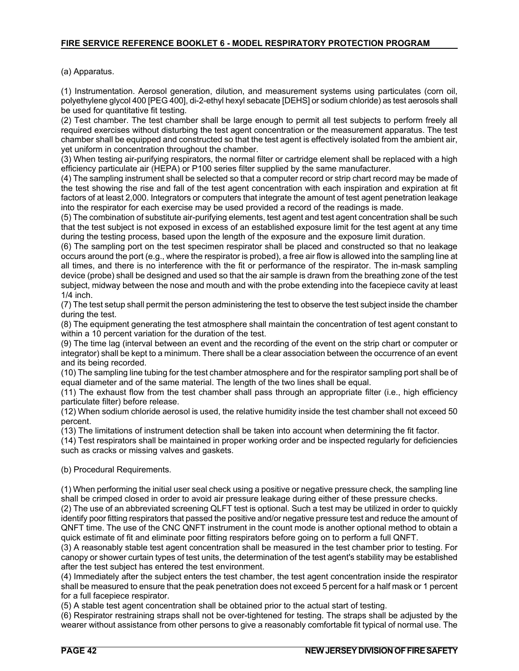(a) Apparatus.

(1) Instrumentation. Aerosol generation, dilution, and measurement systems using particulates (corn oil, polyethylene glycol 400 [PEG 400], di-2-ethyl hexyl sebacate [DEHS] or sodium chloride) as test aerosols shall be used for quantitative fit testing.

(2) Test chamber. The test chamber shall be large enough to permit all test subjects to perform freely all required exercises without disturbing the test agent concentration or the measurement apparatus. The test chamber shall be equipped and constructed so that the test agent is effectively isolated from the ambient air, yet uniform in concentration throughout the chamber.

(3) When testing air-purifying respirators, the normal filter or cartridge element shall be replaced with a high efficiency particulate air (HEPA) or P100 series filter supplied by the same manufacturer.

(4) The sampling instrument shall be selected so that a computer record or strip chart record may be made of the test showing the rise and fall of the test agent concentration with each inspiration and expiration at fit factors of at least 2,000. Integrators or computers that integrate the amount of test agent penetration leakage into the respirator for each exercise may be used provided a record of the readings is made.

(5) The combination of substitute air-purifying elements, test agent and test agent concentration shall be such that the test subject is not exposed in excess of an established exposure limit for the test agent at any time during the testing process, based upon the length of the exposure and the exposure limit duration.

(6) The sampling port on the test specimen respirator shall be placed and constructed so that no leakage occurs around the port (e.g., where the respirator is probed), a free air flow is allowed into the sampling line at all times, and there is no interference with the fit or performance of the respirator. The in-mask sampling device (probe) shall be designed and used so that the air sample is drawn from the breathing zone of the test subject, midway between the nose and mouth and with the probe extending into the facepiece cavity at least 1/4 inch.

(7) The test setup shall permit the person administering the test to observe the test subject inside the chamber during the test.

(8) The equipment generating the test atmosphere shall maintain the concentration of test agent constant to within a 10 percent variation for the duration of the test.

(9) The time lag (interval between an event and the recording of the event on the strip chart or computer or integrator) shall be kept to a minimum. There shall be a clear association between the occurrence of an event and its being recorded.

(10) The sampling line tubing for the test chamber atmosphere and for the respirator sampling port shall be of equal diameter and of the same material. The length of the two lines shall be equal.

(11) The exhaust flow from the test chamber shall pass through an appropriate filter (i.e., high efficiency particulate filter) before release.

(12) When sodium chloride aerosol is used, the relative humidity inside the test chamber shall not exceed 50 percent.

(13) The limitations of instrument detection shall be taken into account when determining the fit factor.

(14) Test respirators shall be maintained in proper working order and be inspected regularly for deficiencies such as cracks or missing valves and gaskets.

(b) Procedural Requirements.

(1) When performing the initial user seal check using a positive or negative pressure check, the sampling line shall be crimped closed in order to avoid air pressure leakage during either of these pressure checks.

(2) The use of an abbreviated screening QLFT test is optional. Such a test may be utilized in order to quickly identify poor fitting respirators that passed the positive and/or negative pressure test and reduce the amount of QNFT time. The use of the CNC QNFT instrument in the count mode is another optional method to obtain a quick estimate of fit and eliminate poor fitting respirators before going on to perform a full QNFT.

(3) A reasonably stable test agent concentration shall be measured in the test chamber prior to testing. For canopy or shower curtain types of test units, the determination of the test agent's stability may be established after the test subject has entered the test environment.

(4) Immediately after the subject enters the test chamber, the test agent concentration inside the respirator shall be measured to ensure that the peak penetration does not exceed 5 percent for a half mask or 1 percent for a full facepiece respirator.

(5) A stable test agent concentration shall be obtained prior to the actual start of testing.

(6) Respirator restraining straps shall not be over-tightened for testing. The straps shall be adjusted by the wearer without assistance from other persons to give a reasonably comfortable fit typical of normal use. The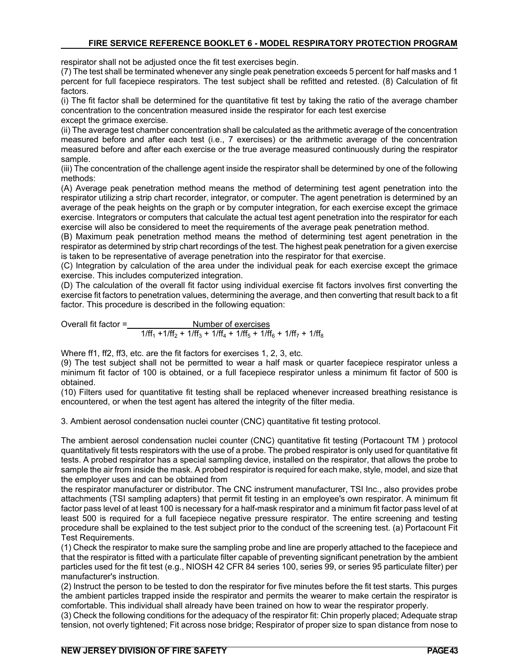respirator shall not be adjusted once the fit test exercises begin.

(7) The test shall be terminated whenever any single peak penetration exceeds 5 percent for half masks and 1 percent for full facepiece respirators. The test subject shall be refitted and retested. (8) Calculation of fit factors.

(i) The fit factor shall be determined for the quantitative fit test by taking the ratio of the average chamber concentration to the concentration measured inside the respirator for each test exercise except the grimace exercise.

(ii) The average test chamber concentration shall be calculated as the arithmetic average of the concentration measured before and after each test (i.e., 7 exercises) or the arithmetic average of the concentration measured before and after each exercise or the true average measured continuously during the respirator sample.

(iii) The concentration of the challenge agent inside the respirator shall be determined by one of the following methods:

(A) Average peak penetration method means the method of determining test agent penetration into the respirator utilizing a strip chart recorder, integrator, or computer. The agent penetration is determined by an average of the peak heights on the graph or by computer integration, for each exercise except the grimace exercise. Integrators or computers that calculate the actual test agent penetration into the respirator for each exercise will also be considered to meet the requirements of the average peak penetration method.

(B) Maximum peak penetration method means the method of determining test agent penetration in the respirator as determined by strip chart recordings of the test. The highest peak penetration for a given exercise is taken to be representative of average penetration into the respirator for that exercise.

(C) Integration by calculation of the area under the individual peak for each exercise except the grimace exercise. This includes computerized integration.

(D) The calculation of the overall fit factor using individual exercise fit factors involves first converting the exercise fit factors to penetration values, determining the average, and then converting that result back to a fit factor. This procedure is described in the following equation:

Overall fit factor = Number of exercises 1/ff<sub>1</sub> +1/ff<sub>2</sub> + 1/ff<sub>3</sub> + 1/ff<sub>4</sub> + 1/ff<sub>5</sub> + 1/ff<sub>6</sub> + 1/ff<sub>7</sub> + 1/ff<sub>8</sub>

Where ff1, ff2, ff3, etc. are the fit factors for exercises 1, 2, 3, etc.

(9) The test subject shall not be permitted to wear a half mask or quarter facepiece respirator unless a minimum fit factor of 100 is obtained, or a full facepiece respirator unless a minimum fit factor of 500 is obtained.

(10) Filters used for quantitative fit testing shall be replaced whenever increased breathing resistance is encountered, or when the test agent has altered the integrity of the filter media.

3. Ambient aerosol condensation nuclei counter (CNC) quantitative fit testing protocol.

The ambient aerosol condensation nuclei counter (CNC) quantitative fit testing (Portacount TM ) protocol quantitatively fit tests respirators with the use of a probe. The probed respirator is only used for quantitative fit tests. A probed respirator has a special sampling device, installed on the respirator, that allows the probe to sample the air from inside the mask. A probed respirator is required for each make, style, model, and size that the employer uses and can be obtained from

the respirator manufacturer or distributor. The CNC instrument manufacturer, TSI Inc., also provides probe attachments (TSI sampling adapters) that permit fit testing in an employee's own respirator. A minimum fit factor pass level of at least 100 is necessary for a half-mask respirator and a minimum fit factor pass level of at least 500 is required for a full facepiece negative pressure respirator. The entire screening and testing procedure shall be explained to the test subject prior to the conduct of the screening test. (a) Portacount Fit Test Requirements.

(1) Check the respirator to make sure the sampling probe and line are properly attached to the facepiece and that the respirator is fitted with a particulate filter capable of preventing significant penetration by the ambient particles used for the fit test (e.g., NIOSH 42 CFR 84 series 100, series 99, or series 95 particulate filter) per manufacturer's instruction.

(2) Instruct the person to be tested to don the respirator for five minutes before the fit test starts. This purges the ambient particles trapped inside the respirator and permits the wearer to make certain the respirator is comfortable. This individual shall already have been trained on how to wear the respirator properly.

(3) Check the following conditions for the adequacy of the respirator fit: Chin properly placed; Adequate strap tension, not overly tightened; Fit across nose bridge; Respirator of proper size to span distance from nose to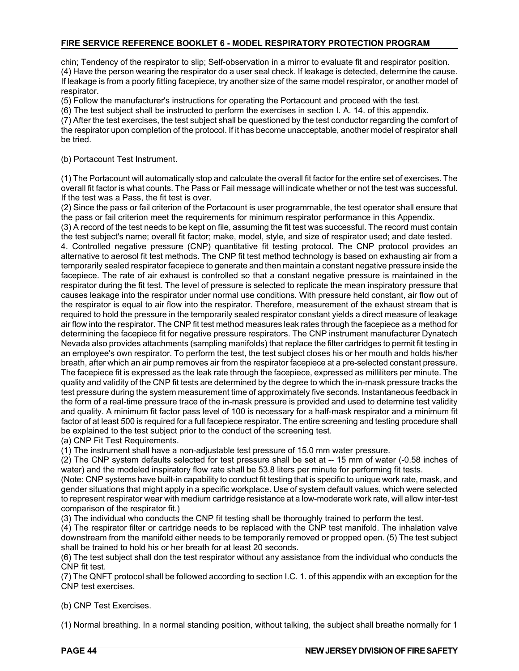chin; Tendency of the respirator to slip; Self-observation in a mirror to evaluate fit and respirator position. (4) Have the person wearing the respirator do a user seal check. If leakage is detected, determine the cause. If leakage is from a poorly fitting facepiece, try another size of the same model respirator, or another model of respirator.

(5) Follow the manufacturer's instructions for operating the Portacount and proceed with the test.

(6) The test subject shall be instructed to perform the exercises in section I. A. 14. of this appendix.

(7) After the test exercises, the test subject shall be questioned by the test conductor regarding the comfort of the respirator upon completion of the protocol. If it has become unacceptable, another model of respirator shall be tried.

(b) Portacount Test Instrument.

(1) The Portacount will automatically stop and calculate the overall fit factor for the entire set of exercises. The overall fit factor is what counts. The Pass or Fail message will indicate whether or not the test was successful. If the test was a Pass, the fit test is over.

(2) Since the pass or fail criterion of the Portacount is user programmable, the test operator shall ensure that the pass or fail criterion meet the requirements for minimum respirator performance in this Appendix.

(3) A record of the test needs to be kept on file, assuming the fit test was successful. The record must contain the test subject's name; overall fit factor; make, model, style, and size of respirator used; and date tested.

4. Controlled negative pressure (CNP) quantitative fit testing protocol. The CNP protocol provides an alternative to aerosol fit test methods. The CNP fit test method technology is based on exhausting air from a temporarily sealed respirator facepiece to generate and then maintain a constant negative pressure inside the facepiece. The rate of air exhaust is controlled so that a constant negative pressure is maintained in the respirator during the fit test. The level of pressure is selected to replicate the mean inspiratory pressure that causes leakage into the respirator under normal use conditions. With pressure held constant, air flow out of the respirator is equal to air flow into the respirator. Therefore, measurement of the exhaust stream that is required to hold the pressure in the temporarily sealed respirator constant yields a direct measure of leakage air flow into the respirator. The CNP fit test method measures leak rates through the facepiece as a method for determining the facepiece fit for negative pressure respirators. The CNP instrument manufacturer Dynatech Nevada also provides attachments (sampling manifolds) that replace the filter cartridges to permit fit testing in an employee's own respirator. To perform the test, the test subject closes his or her mouth and holds his/her breath, after which an air pump removes air from the respirator facepiece at a pre-selected constant pressure. The facepiece fit is expressed as the leak rate through the facepiece, expressed as milliliters per minute. The quality and validity of the CNP fit tests are determined by the degree to which the in-mask pressure tracks the test pressure during the system measurement time of approximately five seconds. Instantaneous feedback in the form of a real-time pressure trace of the in-mask pressure is provided and used to determine test validity and quality. A minimum fit factor pass level of 100 is necessary for a half-mask respirator and a minimum fit factor of at least 500 is required for a full facepiece respirator. The entire screening and testing procedure shall be explained to the test subject prior to the conduct of the screening test.

(a) CNP Fit Test Requirements.

(1) The instrument shall have a non-adjustable test pressure of 15.0 mm water pressure.

(2) The CNP system defaults selected for test pressure shall be set at -- 15 mm of water (-0.58 inches of water) and the modeled inspiratory flow rate shall be 53.8 liters per minute for performing fit tests.

(Note: CNP systems have built-in capability to conduct fit testing that is specific to unique work rate, mask, and gender situations that might apply in a specific workplace. Use of system default values, which were selected to represent respirator wear with medium cartridge resistance at a low-moderate work rate, will allow inter-test comparison of the respirator fit.)

(3) The individual who conducts the CNP fit testing shall be thoroughly trained to perform the test.

(4) The respirator filter or cartridge needs to be replaced with the CNP test manifold. The inhalation valve downstream from the manifold either needs to be temporarily removed or propped open. (5) The test subject shall be trained to hold his or her breath for at least 20 seconds.

(6) The test subject shall don the test respirator without any assistance from the individual who conducts the CNP fit test.

(7) The QNFT protocol shall be followed according to section I.C. 1. of this appendix with an exception for the CNP test exercises.

(b) CNP Test Exercises.

(1) Normal breathing. In a normal standing position, without talking, the subject shall breathe normally for 1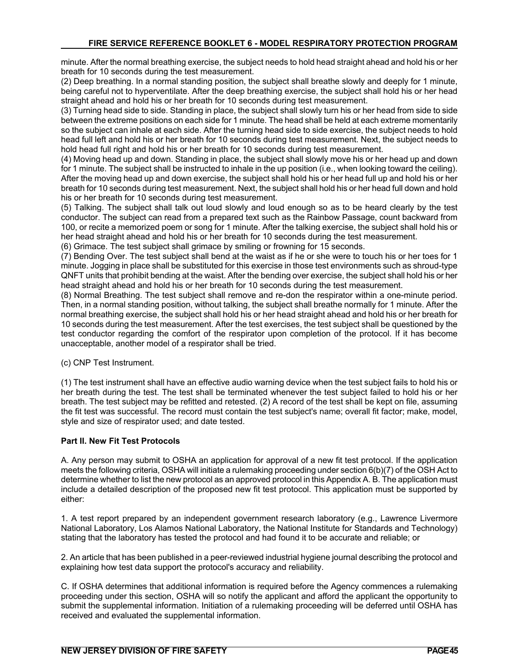minute. After the normal breathing exercise, the subject needs to hold head straight ahead and hold his or her breath for 10 seconds during the test measurement.

(2) Deep breathing. In a normal standing position, the subject shall breathe slowly and deeply for 1 minute, being careful not to hyperventilate. After the deep breathing exercise, the subject shall hold his or her head straight ahead and hold his or her breath for 10 seconds during test measurement.

(3) Turning head side to side. Standing in place, the subject shall slowly turn his or her head from side to side between the extreme positions on each side for 1 minute. The head shall be held at each extreme momentarily so the subject can inhale at each side. After the turning head side to side exercise, the subject needs to hold head full left and hold his or her breath for 10 seconds during test measurement. Next, the subject needs to hold head full right and hold his or her breath for 10 seconds during test measurement.

(4) Moving head up and down. Standing in place, the subject shall slowly move his or her head up and down for 1 minute. The subject shall be instructed to inhale in the up position (i.e., when looking toward the ceiling). After the moving head up and down exercise, the subject shall hold his or her head full up and hold his or her breath for 10 seconds during test measurement. Next, the subject shall hold his or her head full down and hold his or her breath for 10 seconds during test measurement.

(5) Talking. The subject shall talk out loud slowly and loud enough so as to be heard clearly by the test conductor. The subject can read from a prepared text such as the Rainbow Passage, count backward from 100, or recite a memorized poem or song for 1 minute. After the talking exercise, the subject shall hold his or her head straight ahead and hold his or her breath for 10 seconds during the test measurement.

(6) Grimace. The test subject shall grimace by smiling or frowning for 15 seconds.

(7) Bending Over. The test subject shall bend at the waist as if he or she were to touch his or her toes for 1 minute. Jogging in place shall be substituted for this exercise in those test environments such as shroud-type QNFT units that prohibit bending at the waist. After the bending over exercise, the subject shall hold his or her head straight ahead and hold his or her breath for 10 seconds during the test measurement.

(8) Normal Breathing. The test subject shall remove and re-don the respirator within a one-minute period. Then, in a normal standing position, without talking, the subject shall breathe normally for 1 minute. After the normal breathing exercise, the subject shall hold his or her head straight ahead and hold his or her breath for 10 seconds during the test measurement. After the test exercises, the test subject shall be questioned by the test conductor regarding the comfort of the respirator upon completion of the protocol. If it has become unacceptable, another model of a respirator shall be tried.

#### (c) CNP Test Instrument.

(1) The test instrument shall have an effective audio warning device when the test subject fails to hold his or her breath during the test. The test shall be terminated whenever the test subject failed to hold his or her breath. The test subject may be refitted and retested. (2) A record of the test shall be kept on file, assuming the fit test was successful. The record must contain the test subject's name; overall fit factor; make, model, style and size of respirator used; and date tested.

#### **Part II. New Fit Test Protocols**

A. Any person may submit to OSHA an application for approval of a new fit test protocol. If the application meets the following criteria, OSHA will initiate a rulemaking proceeding under section 6(b)(7) of the OSH Act to determine whether to list the new protocol as an approved protocol in this Appendix A. B. The application must include a detailed description of the proposed new fit test protocol. This application must be supported by either:

1. A test report prepared by an independent government research laboratory (e.g., Lawrence Livermore National Laboratory, Los Alamos National Laboratory, the National Institute for Standards and Technology) stating that the laboratory has tested the protocol and had found it to be accurate and reliable; or

2. An article that has been published in a peer-reviewed industrial hygiene journal describing the protocol and explaining how test data support the protocol's accuracy and reliability.

C. If OSHA determines that additional information is required before the Agency commences a rulemaking proceeding under this section, OSHA will so notify the applicant and afford the applicant the opportunity to submit the supplemental information. Initiation of a rulemaking proceeding will be deferred until OSHA has received and evaluated the supplemental information.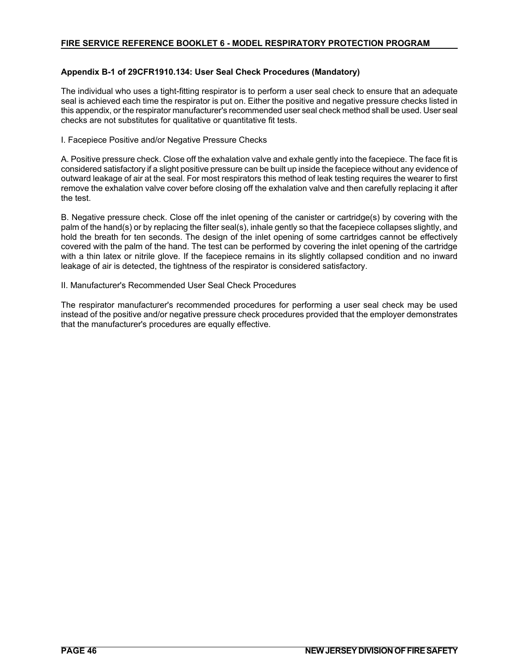#### **Appendix B-1 of 29CFR1910.134: User Seal Check Procedures (Mandatory)**

The individual who uses a tight-fitting respirator is to perform a user seal check to ensure that an adequate seal is achieved each time the respirator is put on. Either the positive and negative pressure checks listed in this appendix, or the respirator manufacturer's recommended user seal check method shall be used. User seal checks are not substitutes for qualitative or quantitative fit tests.

#### I. Facepiece Positive and/or Negative Pressure Checks

A. Positive pressure check. Close off the exhalation valve and exhale gently into the facepiece. The face fit is considered satisfactory if a slight positive pressure can be built up inside the facepiece without any evidence of outward leakage of air at the seal. For most respirators this method of leak testing requires the wearer to first remove the exhalation valve cover before closing off the exhalation valve and then carefully replacing it after the test.

B. Negative pressure check. Close off the inlet opening of the canister or cartridge(s) by covering with the palm of the hand(s) or by replacing the filter seal(s), inhale gently so that the facepiece collapses slightly, and hold the breath for ten seconds. The design of the inlet opening of some cartridges cannot be effectively covered with the palm of the hand. The test can be performed by covering the inlet opening of the cartridge with a thin latex or nitrile glove. If the facepiece remains in its slightly collapsed condition and no inward leakage of air is detected, the tightness of the respirator is considered satisfactory.

#### II. Manufacturer's Recommended User Seal Check Procedures

The respirator manufacturer's recommended procedures for performing a user seal check may be used instead of the positive and/or negative pressure check procedures provided that the employer demonstrates that the manufacturer's procedures are equally effective.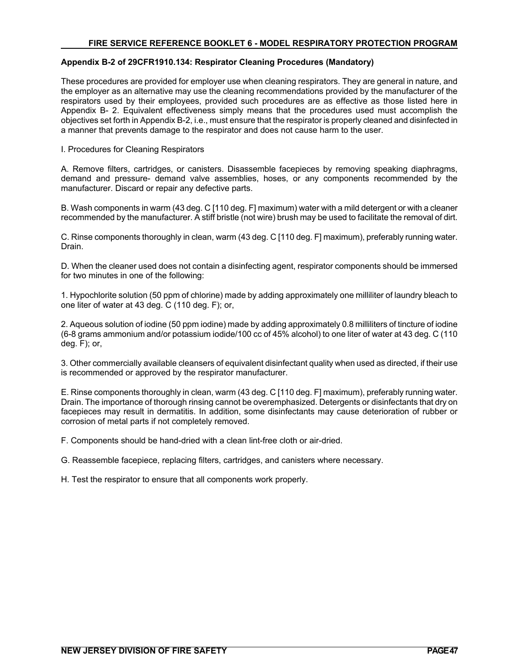#### **Appendix B-2 of 29CFR1910.134: Respirator Cleaning Procedures (Mandatory)**

These procedures are provided for employer use when cleaning respirators. They are general in nature, and the employer as an alternative may use the cleaning recommendations provided by the manufacturer of the respirators used by their employees, provided such procedures are as effective as those listed here in Appendix B- 2. Equivalent effectiveness simply means that the procedures used must accomplish the objectives set forth in Appendix B-2, i.e., must ensure that the respirator is properly cleaned and disinfected in a manner that prevents damage to the respirator and does not cause harm to the user.

I. Procedures for Cleaning Respirators

A. Remove filters, cartridges, or canisters. Disassemble facepieces by removing speaking diaphragms, demand and pressure- demand valve assemblies, hoses, or any components recommended by the manufacturer. Discard or repair any defective parts.

B. Wash components in warm (43 deg. C [110 deg. F] maximum) water with a mild detergent or with a cleaner recommended by the manufacturer. A stiff bristle (not wire) brush may be used to facilitate the removal of dirt.

C. Rinse components thoroughly in clean, warm (43 deg. C [110 deg. F] maximum), preferably running water. Drain.

D. When the cleaner used does not contain a disinfecting agent, respirator components should be immersed for two minutes in one of the following:

1. Hypochlorite solution (50 ppm of chlorine) made by adding approximately one milliliter of laundry bleach to one liter of water at 43 deg. C (110 deg. F); or,

2. Aqueous solution of iodine (50 ppm iodine) made by adding approximately 0.8 milliliters of tincture of iodine (6-8 grams ammonium and/or potassium iodide/100 cc of 45% alcohol) to one liter of water at 43 deg. C (110 deg. F); or,

3. Other commercially available cleansers of equivalent disinfectant quality when used as directed, if their use is recommended or approved by the respirator manufacturer.

E. Rinse components thoroughly in clean, warm (43 deg. C [110 deg. F] maximum), preferably running water. Drain. The importance of thorough rinsing cannot be overemphasized. Detergents or disinfectants that dry on facepieces may result in dermatitis. In addition, some disinfectants may cause deterioration of rubber or corrosion of metal parts if not completely removed.

F. Components should be hand-dried with a clean lint-free cloth or air-dried.

G. Reassemble facepiece, replacing filters, cartridges, and canisters where necessary.

H. Test the respirator to ensure that all components work properly.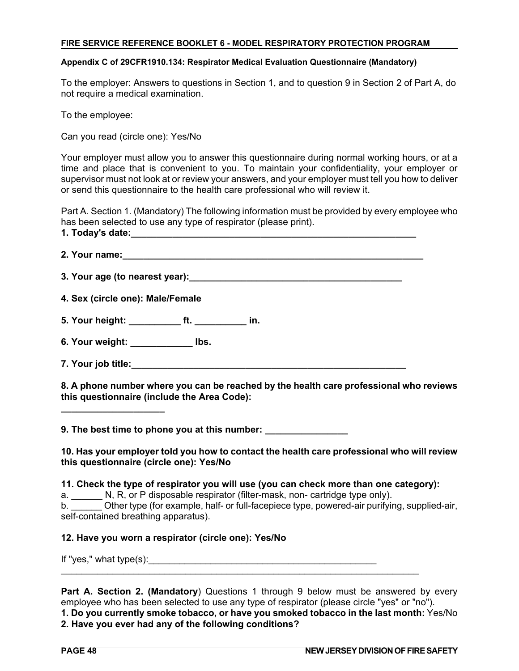#### **Appendix C of 29CFR1910.134: Respirator Medical Evaluation Questionnaire (Mandatory)**

To the employer: Answers to questions in Section 1, and to question 9 in Section 2 of Part A, do not require a medical examination.

To the employee:

Can you read (circle one): Yes/No

Your employer must allow you to answer this questionnaire during normal working hours, or at a time and place that is convenient to you. To maintain your confidentiality, your employer or supervisor must not look at or review your answers, and your employer must tell you how to deliver or send this questionnaire to the health care professional who will review it.

Part A. Section 1. (Mandatory) The following information must be provided by every employee who has been selected to use any type of respirator (please print).

**1. Today's date:** *Comparent* **<b>***Comparent Comparent Comparent* 

**2. Your name: 2. Your name: 2.** *Point 1.**Point 1.**Point 1.**Point 1.**Point 1.**Point 1.**Point 1.**Point 1.**Point 1.**Point 1.**Point 1.**Point 1.**Point 1.**Point 1.**Point 1.**Point 1.**Point* 

**3. Your age (to nearest year):** <u>contribution</u>  $\mathbf{r}$  is a set of  $\mathbf{r}$  and  $\mathbf{r}$  is a set of  $\mathbf{r}$  and  $\mathbf{r}$  is a set of  $\mathbf{r}$  and  $\mathbf{r}$  and  $\mathbf{r}$  and  $\mathbf{r}$  and  $\mathbf{r}$  and  $\mathbf{r}$  and  $\mathbf{r}$ 

**4. Sex (circle one): Male/Female** 

**5. Your height: \_\_\_\_\_\_\_\_\_\_ ft. \_\_\_\_\_\_\_\_\_\_ in.** 

- **6. Your weight: \_\_\_\_\_\_\_\_\_\_\_\_ lbs.**
- **7. Your job title:\_\_\_\_\_\_\_\_\_\_\_\_\_\_\_\_\_\_\_\_\_\_\_\_\_\_\_\_\_\_\_\_\_\_\_\_\_\_\_\_\_\_\_\_\_\_\_\_\_\_\_\_\_**

**8. A phone number where you can be reached by the health care professional who reviews this questionnaire (include the Area Code):** 

**9. The best time to phone you at this number:** 

**10. Has your employer told you how to contact the health care professional who will review this questionnaire (circle one): Yes/No** 

#### **11. Check the type of respirator you will use (you can check more than one category):**

a. \_\_\_\_\_\_\_\_\_ N, R, or P disposable respirator (filter-mask, non- cartridge type only).

b. \_\_\_\_\_\_ Other type (for example, half- or full-facepiece type, powered-air purifying, supplied-air, self-contained breathing apparatus).

#### **12. Have you worn a respirator (circle one): Yes/No**

If "yes," what type(s):\_\_\_\_\_\_\_\_\_\_\_\_\_\_\_\_\_\_\_\_\_\_\_\_\_\_\_\_\_\_\_\_\_\_\_\_\_\_\_\_\_\_\_\_

**\_\_\_\_\_\_\_\_\_\_\_\_\_\_\_\_\_\_\_\_** 

**Part A. Section 2. (Mandatory)** Questions 1 through 9 below must be answered by every employee who has been selected to use any type of respirator (please circle "yes" or "no"). **1. Do you currently smoke tobacco, or have you smoked tobacco in the last month:** Yes/No **2. Have you ever had any of the following conditions?** 

\_\_\_\_\_\_\_\_\_\_\_\_\_\_\_\_\_\_\_\_\_\_\_\_\_\_\_\_\_\_\_\_\_\_\_\_\_\_\_\_\_\_\_\_\_\_\_\_\_\_\_\_\_\_\_\_\_\_\_\_\_\_\_\_\_\_\_\_\_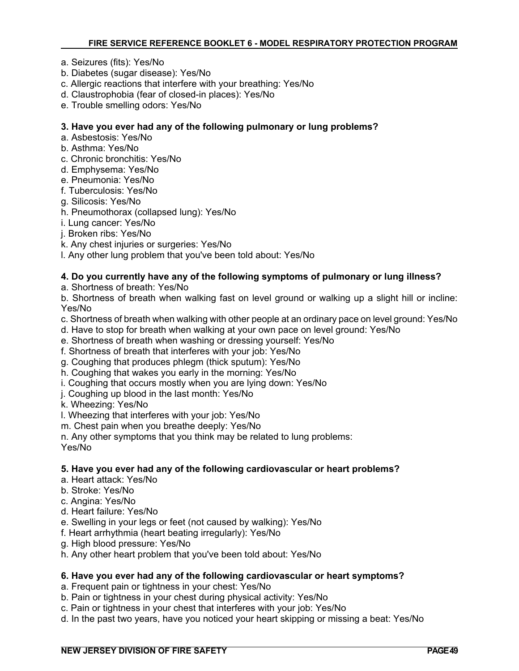- a. Seizures (fits): Yes/No
- b. Diabetes (sugar disease): Yes/No
- c. Allergic reactions that interfere with your breathing: Yes/No
- d. Claustrophobia (fear of closed-in places): Yes/No
- e. Trouble smelling odors: Yes/No

#### **3. Have you ever had any of the following pulmonary or lung problems?**

- a. Asbestosis: Yes/No
- b. Asthma: Yes/No
- c. Chronic bronchitis: Yes/No
- d. Emphysema: Yes/No
- e. Pneumonia: Yes/No
- f. Tuberculosis: Yes/No
- g. Silicosis: Yes/No
- h. Pneumothorax (collapsed lung): Yes/No
- i. Lung cancer: Yes/No
- j. Broken ribs: Yes/No
- k. Any chest injuries or surgeries: Yes/No

l. Any other lung problem that you've been told about: Yes/No

#### **4. Do you currently have any of the following symptoms of pulmonary or lung illness?**

a. Shortness of breath: Yes/No

b. Shortness of breath when walking fast on level ground or walking up a slight hill or incline: Yes/No

- c. Shortness of breath when walking with other people at an ordinary pace on level ground: Yes/No
- d. Have to stop for breath when walking at your own pace on level ground: Yes/No
- e. Shortness of breath when washing or dressing yourself: Yes/No
- f. Shortness of breath that interferes with your job: Yes/No
- g. Coughing that produces phlegm (thick sputum): Yes/No
- h. Coughing that wakes you early in the morning: Yes/No
- i. Coughing that occurs mostly when you are lying down: Yes/No
- j. Coughing up blood in the last month: Yes/No

k. Wheezing: Yes/No

- l. Wheezing that interferes with your job: Yes/No
- m. Chest pain when you breathe deeply: Yes/No

n. Any other symptoms that you think may be related to lung problems:

Yes/No

#### **5. Have you ever had any of the following cardiovascular or heart problems?**

- a. Heart attack: Yes/No
- b. Stroke: Yes/No
- c. Angina: Yes/No
- d. Heart failure: Yes/No
- e. Swelling in your legs or feet (not caused by walking): Yes/No
- f. Heart arrhythmia (heart beating irregularly): Yes/No
- g. High blood pressure: Yes/No
- h. Any other heart problem that you've been told about: Yes/No

#### **6. Have you ever had any of the following cardiovascular or heart symptoms?**

- a. Frequent pain or tightness in your chest: Yes/No
- b. Pain or tightness in your chest during physical activity: Yes/No
- c. Pain or tightness in your chest that interferes with your job: Yes/No
- d. In the past two years, have you noticed your heart skipping or missing a beat: Yes/No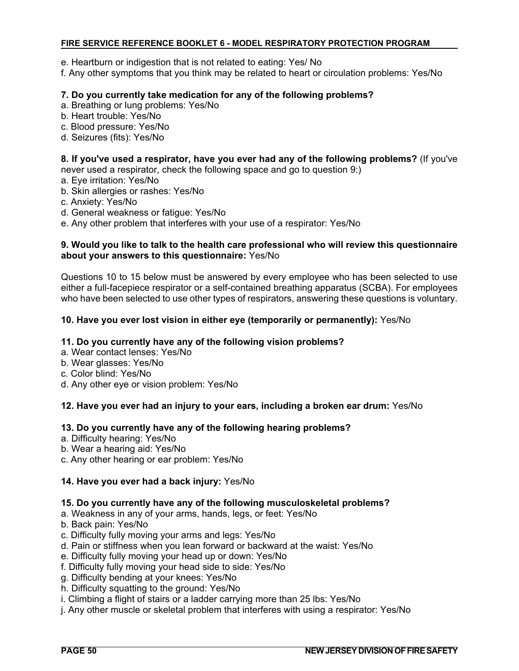e. Heartburn or indigestion that is not related to eating: Yes/ No

f. Any other symptoms that you think may be related to heart or circulation problems: Yes/No

# **7. Do you currently take medication for any of the following problems?**

- a. Breathing or lung problems: Yes/No
- b. Heart trouble: Yes/No
- c. Blood pressure: Yes/No
- d. Seizures (fits): Yes/No

#### **8. If you've used a respirator, have you ever had any of the following problems?** (If you've

never used a respirator, check the following space and go to question 9:)

- a. Eye irritation: Yes/No
- b. Skin allergies or rashes: Yes/No
- c. Anxiety: Yes/No
- d. General weakness or fatigue: Yes/No
- e. Any other problem that interferes with your use of a respirator: Yes/No

#### **9. Would you like to talk to the health care professional who will review this questionnaire about your answers to this questionnaire:** Yes/No

Questions 10 to 15 below must be answered by every employee who has been selected to use either a full-facepiece respirator or a self-contained breathing apparatus (SCBA). For employees who have been selected to use other types of respirators, answering these questions is voluntary.

#### **10. Have you ever lost vision in either eye (temporarily or permanently):** Yes/No

#### **11. Do you currently have any of the following vision problems?**

- a. Wear contact lenses: Yes/No
- b. Wear glasses: Yes/No
- c. Color blind: Yes/No
- d. Any other eye or vision problem: Yes/No

#### **12. Have you ever had an injury to your ears, including a broken ear drum:** Yes/No

#### **13. Do you currently have any of the following hearing problems?**

- a. Difficulty hearing: Yes/No
- b. Wear a hearing aid: Yes/No
- c. Any other hearing or ear problem: Yes/No

#### **14. Have you ever had a back injury:** Yes/No

#### **15. Do you currently have any of the following musculoskeletal problems?**

- a. Weakness in any of your arms, hands, legs, or feet: Yes/No
- b. Back pain: Yes/No
- c. Difficulty fully moving your arms and legs: Yes/No
- d. Pain or stiffness when you lean forward or backward at the waist: Yes/No
- e. Difficulty fully moving your head up or down: Yes/No
- f. Difficulty fully moving your head side to side: Yes/No
- g. Difficulty bending at your knees: Yes/No
- h. Difficulty squatting to the ground: Yes/No
- i. Climbing a flight of stairs or a ladder carrying more than 25 lbs: Yes/No
- j. Any other muscle or skeletal problem that interferes with using a respirator: Yes/No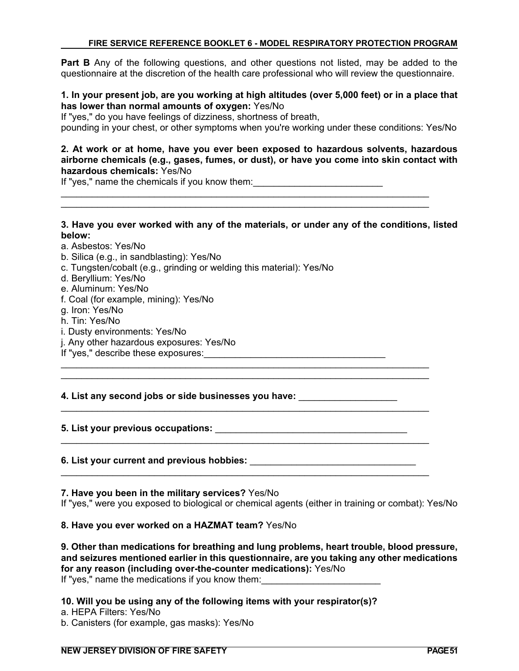**Part B** Any of the following questions, and other questions not listed, may be added to the questionnaire at the discretion of the health care professional who will review the questionnaire.

#### **1. In your present job, are you working at high altitudes (over 5,000 feet) or in a place that has lower than normal amounts of oxygen:** Yes/No

If "yes," do you have feelings of dizziness, shortness of breath,

pounding in your chest, or other symptoms when you're working under these conditions: Yes/No

#### **2. At work or at home, have you ever been exposed to hazardous solvents, hazardous airborne chemicals (e.g., gases, fumes, or dust), or have you come into skin contact with hazardous chemicals:** Yes/No

\_\_\_\_\_\_\_\_\_\_\_\_\_\_\_\_\_\_\_\_\_\_\_\_\_\_\_\_\_\_\_\_\_\_\_\_\_\_\_\_\_\_\_\_\_\_\_\_\_\_\_\_\_\_\_\_\_\_\_\_\_\_\_\_\_\_\_\_\_\_\_ \_\_\_\_\_\_\_\_\_\_\_\_\_\_\_\_\_\_\_\_\_\_\_\_\_\_\_\_\_\_\_\_\_\_\_\_\_\_\_\_\_\_\_\_\_\_\_\_\_\_\_\_\_\_\_\_\_\_\_\_\_\_\_\_\_\_\_\_\_\_\_

\_\_\_\_\_\_\_\_\_\_\_\_\_\_\_\_\_\_\_\_\_\_\_\_\_\_\_\_\_\_\_\_\_\_\_\_\_\_\_\_\_\_\_\_\_\_\_\_\_\_\_\_\_\_\_\_\_\_\_\_\_\_\_\_\_\_\_\_\_\_\_ \_\_\_\_\_\_\_\_\_\_\_\_\_\_\_\_\_\_\_\_\_\_\_\_\_\_\_\_\_\_\_\_\_\_\_\_\_\_\_\_\_\_\_\_\_\_\_\_\_\_\_\_\_\_\_\_\_\_\_\_\_\_\_\_\_\_\_\_\_\_\_

\_\_\_\_\_\_\_\_\_\_\_\_\_\_\_\_\_\_\_\_\_\_\_\_\_\_\_\_\_\_\_\_\_\_\_\_\_\_\_\_\_\_\_\_\_\_\_\_\_\_\_\_\_\_\_\_\_\_\_\_\_\_\_\_\_\_\_\_\_\_\_

\_\_\_\_\_\_\_\_\_\_\_\_\_\_\_\_\_\_\_\_\_\_\_\_\_\_\_\_\_\_\_\_\_\_\_\_\_\_\_\_\_\_\_\_\_\_\_\_\_\_\_\_\_\_\_\_\_\_\_\_\_\_\_\_\_\_\_\_\_\_\_

\_\_\_\_\_\_\_\_\_\_\_\_\_\_\_\_\_\_\_\_\_\_\_\_\_\_\_\_\_\_\_\_\_\_\_\_\_\_\_\_\_\_\_\_\_\_\_\_\_\_\_\_\_\_\_\_\_\_\_\_\_\_\_\_\_\_\_\_\_\_\_

If "yes," name the chemicals if you know them:

#### **3. Have you ever worked with any of the materials, or under any of the conditions, listed below:**

- a. Asbestos: Yes/No
- b. Silica (e.g., in sandblasting): Yes/No
- c. Tungsten/cobalt (e.g., grinding or welding this material): Yes/No
- d. Beryllium: Yes/No
- e. Aluminum: Yes/No
- f. Coal (for example, mining): Yes/No
- g. Iron: Yes/No
- h. Tin: Yes/No
- i. Dusty environments: Yes/No
- j. Any other hazardous exposures: Yes/No
- If "yes," describe these exposures:\_\_\_\_\_\_\_\_\_\_\_\_

#### **4. List any second jobs or side businesses you have:** \_\_\_\_\_\_\_\_\_\_\_\_\_\_\_\_\_\_\_

#### **5. List your previous occupations:** \_\_\_\_\_\_\_\_\_\_\_\_\_\_\_\_\_\_\_\_\_\_\_\_\_\_\_\_\_\_\_\_\_\_\_\_\_

#### **6. List your current and previous hobbies:** \_\_\_\_\_\_\_\_\_\_\_\_\_\_\_\_\_\_\_\_\_\_\_\_\_\_\_\_\_\_\_\_

#### **7. Have you been in the military services?** Yes/No

If "yes," were you exposed to biological or chemical agents (either in training or combat): Yes/No

#### **8. Have you ever worked on a HAZMAT team?** Yes/No

# **9. Other than medications for breathing and lung problems, heart trouble, blood pressure, and seizures mentioned earlier in this questionnaire, are you taking any other medications for any reason (including over-the-counter medications):** Yes/No

If "yes," name the medications if you know them:

#### **10. Will you be using any of the following items with your respirator(s)?**

a. HEPA Filters: Yes/No

b. Canisters (for example, gas masks): Yes/No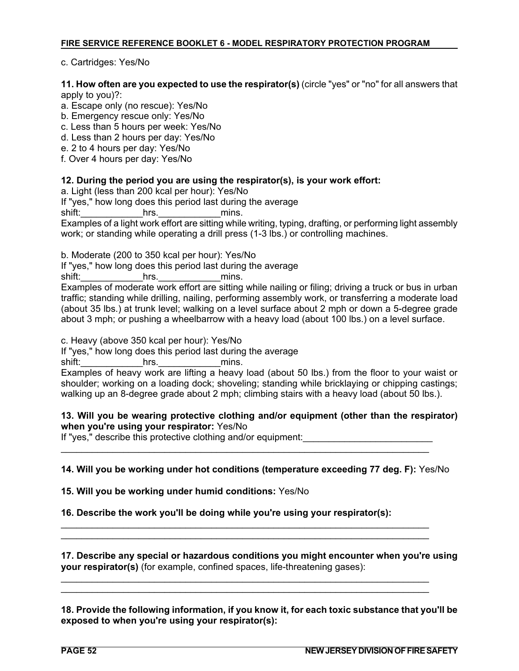#### c. Cartridges: Yes/No

**11. How often are you expected to use the respirator(s)** (circle "yes" or "no" for all answers that apply to you)?:

- a. Escape only (no rescue): Yes/No
- b. Emergency rescue only: Yes/No
- c. Less than 5 hours per week: Yes/No
- d. Less than 2 hours per day: Yes/No
- e. 2 to 4 hours per day: Yes/No
- f. Over 4 hours per day: Yes/No

## **12. During the period you are using the respirator(s), is your work effort:**

a. Light (less than 200 kcal per hour): Yes/No

If "yes," how long does this period last during the average

shift: The shift: The shift: The shift: The shift: The shift: The shift: The shift: The shift: The shift: The shift: The shift: The shift: The shift: The shift: The shift: The shift: The shift: The shift: The shift: The sh

Examples of a light work effort are sitting while writing, typing, drafting, or performing light assembly work; or standing while operating a drill press (1-3 lbs.) or controlling machines.

b. Moderate (200 to 350 kcal per hour): Yes/No

If "yes," how long does this period last during the average

shift: example a shift: the shift: the shift: the shift: the shift: the shift: the shift: the shift: the shift: the shift: the shift: the shift: the shift: the shift: the shift: the shift: the shift: the shift: the shift:

Examples of moderate work effort are sitting while nailing or filing; driving a truck or bus in urban traffic; standing while drilling, nailing, performing assembly work, or transferring a moderate load (about 35 lbs.) at trunk level; walking on a level surface about 2 mph or down a 5-degree grade about 3 mph; or pushing a wheelbarrow with a heavy load (about 100 lbs.) on a level surface.

c. Heavy (above 350 kcal per hour): Yes/No

If "yes," how long does this period last during the average

shift:\_\_\_\_\_\_\_\_\_\_\_\_hrs.\_\_\_\_\_\_\_\_\_\_\_\_mins.

Examples of heavy work are lifting a heavy load (about 50 lbs.) from the floor to your waist or shoulder; working on a loading dock; shoveling; standing while bricklaying or chipping castings; walking up an 8-degree grade about 2 mph; climbing stairs with a heavy load (about 50 lbs.).

#### **13. Will you be wearing protective clothing and/or equipment (other than the respirator) when you're using your respirator:** Yes/No

If "yes," describe this protective clothing and/or equipment:

**14. Will you be working under hot conditions (temperature exceeding 77 deg. F):** Yes/No

\_\_\_\_\_\_\_\_\_\_\_\_\_\_\_\_\_\_\_\_\_\_\_\_\_\_\_\_\_\_\_\_\_\_\_\_\_\_\_\_\_\_\_\_\_\_\_\_\_\_\_\_\_\_\_\_\_\_\_\_\_\_\_\_\_\_\_\_\_\_\_

\_\_\_\_\_\_\_\_\_\_\_\_\_\_\_\_\_\_\_\_\_\_\_\_\_\_\_\_\_\_\_\_\_\_\_\_\_\_\_\_\_\_\_\_\_\_\_\_\_\_\_\_\_\_\_\_\_\_\_\_\_\_\_\_\_\_\_\_\_\_\_ \_\_\_\_\_\_\_\_\_\_\_\_\_\_\_\_\_\_\_\_\_\_\_\_\_\_\_\_\_\_\_\_\_\_\_\_\_\_\_\_\_\_\_\_\_\_\_\_\_\_\_\_\_\_\_\_\_\_\_\_\_\_\_\_\_\_\_\_\_\_\_

\_\_\_\_\_\_\_\_\_\_\_\_\_\_\_\_\_\_\_\_\_\_\_\_\_\_\_\_\_\_\_\_\_\_\_\_\_\_\_\_\_\_\_\_\_\_\_\_\_\_\_\_\_\_\_\_\_\_\_\_\_\_\_\_\_\_\_\_\_\_\_ \_\_\_\_\_\_\_\_\_\_\_\_\_\_\_\_\_\_\_\_\_\_\_\_\_\_\_\_\_\_\_\_\_\_\_\_\_\_\_\_\_\_\_\_\_\_\_\_\_\_\_\_\_\_\_\_\_\_\_\_\_\_\_\_\_\_\_\_\_\_\_

**15. Will you be working under humid conditions:** Yes/No

**16. Describe the work you'll be doing while you're using your respirator(s):** 

**17. Describe any special or hazardous conditions you might encounter when you're using your respirator(s)** (for example, confined spaces, life-threatening gases):

**18. Provide the following information, if you know it, for each toxic substance that you'll be exposed to when you're using your respirator(s):**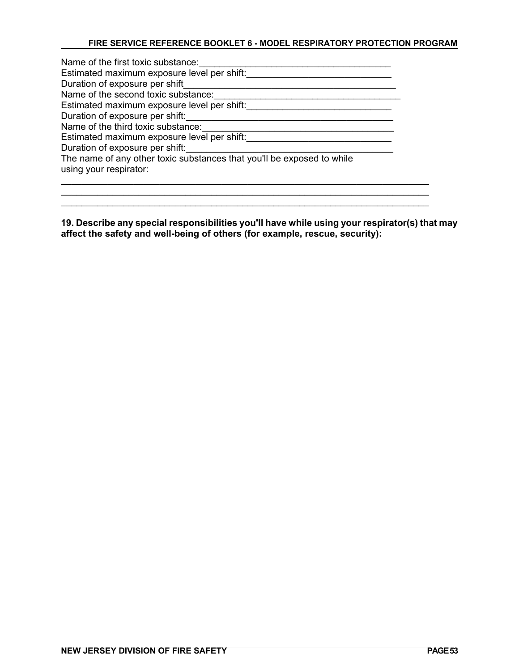Name of the first toxic substance: express the substance of the first toxic substance:

Estimated maximum exposure level per shift:\_\_\_\_\_\_\_\_\_\_\_\_\_\_\_\_\_\_\_\_\_\_\_\_\_\_\_\_

Duration of exposure per shift\_\_\_\_\_\_\_\_\_\_\_\_\_\_\_\_\_\_\_\_\_\_\_\_\_\_\_\_\_\_\_\_\_\_\_\_\_\_\_\_\_

Name of the second toxic substance:\_\_\_\_\_\_\_\_\_\_\_\_\_\_\_\_\_\_\_\_\_\_\_\_\_\_\_\_\_\_\_\_\_\_\_\_

Estimated maximum exposure level per shift:\_\_\_\_\_\_\_\_\_\_\_\_\_\_\_\_\_\_\_\_\_\_\_\_\_\_\_\_

Duration of exposure per shift:\_\_\_\_\_\_\_\_\_\_\_\_\_\_\_\_\_\_\_\_\_\_\_\_\_\_\_\_\_\_\_\_\_\_\_\_\_\_\_\_

Name of the third toxic substance:<br>

Estimated maximum exposure level per shift:\_\_\_\_\_\_\_\_\_\_\_\_\_\_\_\_\_\_\_\_\_\_\_\_\_\_\_\_

Duration of exposure per shift:

The name of any other toxic substances that you'll be exposed to while using your respirator:

**19. Describe any special responsibilities you'll have while using your respirator(s) that may affect the safety and well-being of others (for example, rescue, security):** 

\_\_\_\_\_\_\_\_\_\_\_\_\_\_\_\_\_\_\_\_\_\_\_\_\_\_\_\_\_\_\_\_\_\_\_\_\_\_\_\_\_\_\_\_\_\_\_\_\_\_\_\_\_\_\_\_\_\_\_\_\_\_\_\_\_\_\_\_\_\_\_

\_\_\_\_\_\_\_\_\_\_\_\_\_\_\_\_\_\_\_\_\_\_\_\_\_\_\_\_\_\_\_\_\_\_\_\_\_\_\_\_\_\_\_\_\_\_\_\_\_\_\_\_\_\_\_\_\_\_\_\_\_\_\_\_\_\_\_\_\_\_\_